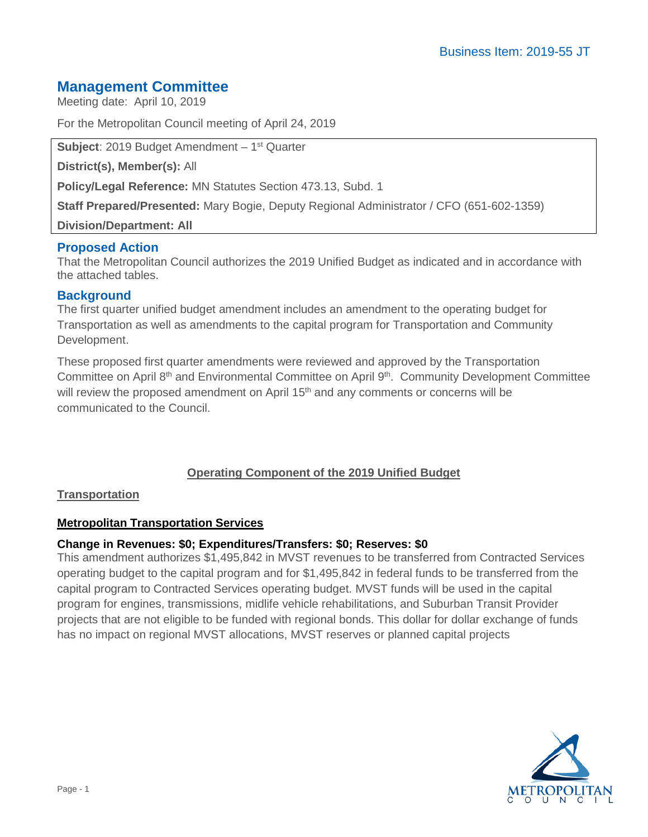# **Management Committee**

Meeting date: April 10, 2019

For the Metropolitan Council meeting of April 24, 2019

**Subject**: 2019 Budget Amendment – 1st Quarter

**District(s), Member(s):** All

**Policy/Legal Reference:** MN Statutes Section 473.13, Subd. 1

**Staff Prepared/Presented:** Mary Bogie, Deputy Regional Administrator / CFO (651-602-1359)

**Division/Department: All**

## **Proposed Action**

That the Metropolitan Council authorizes the 2019 Unified Budget as indicated and in accordance with the attached tables.

## **Background**

The first quarter unified budget amendment includes an amendment to the operating budget for Transportation as well as amendments to the capital program for Transportation and Community Development.

These proposed first quarter amendments were reviewed and approved by the Transportation Committee on April 8<sup>th</sup> and Environmental Committee on April 9<sup>th</sup>. Community Development Committee will review the proposed amendment on April 15<sup>th</sup> and any comments or concerns will be communicated to the Council.

## **Operating Component of the 2019 Unified Budget**

#### **Transportation**

#### **Metropolitan Transportation Services**

#### **Change in Revenues: \$0; Expenditures/Transfers: \$0; Reserves: \$0**

This amendment authorizes \$1,495,842 in MVST revenues to be transferred from Contracted Services operating budget to the capital program and for \$1,495,842 in federal funds to be transferred from the capital program to Contracted Services operating budget. MVST funds will be used in the capital program for engines, transmissions, midlife vehicle rehabilitations, and Suburban Transit Provider projects that are not eligible to be funded with regional bonds. This dollar for dollar exchange of funds has no impact on regional MVST allocations, MVST reserves or planned capital projects

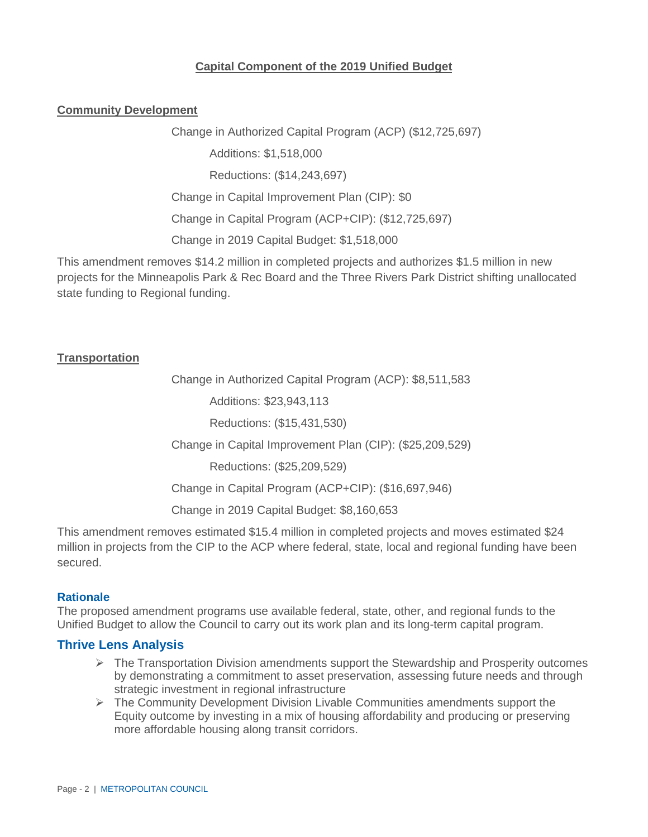## **Capital Component of the 2019 Unified Budget**

#### **Community Development**

Change in Authorized Capital Program (ACP) (\$12,725,697) Additions: \$1,518,000 Reductions: (\$14,243,697) Change in Capital Improvement Plan (CIP): \$0 Change in Capital Program (ACP+CIP): (\$12,725,697) Change in 2019 Capital Budget: \$1,518,000

This amendment removes \$14.2 million in completed projects and authorizes \$1.5 million in new projects for the Minneapolis Park & Rec Board and the Three Rivers Park District shifting unallocated state funding to Regional funding.

#### **Transportation**

Change in Authorized Capital Program (ACP): \$8,511,583

Additions: \$23,943,113

Reductions: (\$15,431,530)

Change in Capital Improvement Plan (CIP): (\$25,209,529)

Reductions: (\$25,209,529)

Change in Capital Program (ACP+CIP): (\$16,697,946)

Change in 2019 Capital Budget: \$8,160,653

This amendment removes estimated \$15.4 million in completed projects and moves estimated \$24 million in projects from the CIP to the ACP where federal, state, local and regional funding have been secured.

#### **Rationale**

The proposed amendment programs use available federal, state, other, and regional funds to the Unified Budget to allow the Council to carry out its work plan and its long-term capital program.

#### **Thrive Lens Analysis**

- $\triangleright$  The Transportation Division amendments support the Stewardship and Prosperity outcomes by demonstrating a commitment to asset preservation, assessing future needs and through strategic investment in regional infrastructure
- $\triangleright$  The Community Development Division Livable Communities amendments support the Equity outcome by investing in a mix of housing affordability and producing or preserving more affordable housing along transit corridors.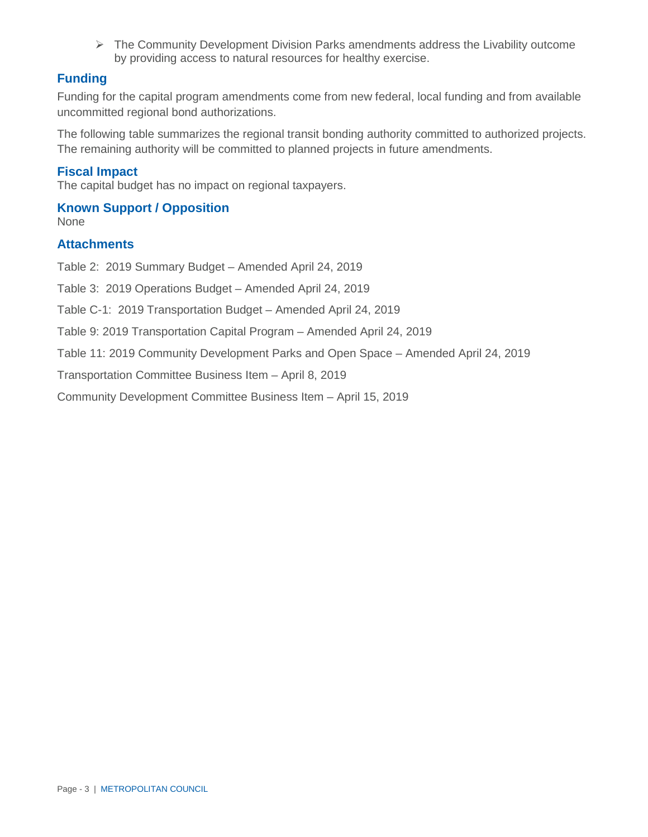$\triangleright$  The Community Development Division Parks amendments address the Livability outcome by providing access to natural resources for healthy exercise.

## **Funding**

Funding for the capital program amendments come from new federal, local funding and from available uncommitted regional bond authorizations.

The following table summarizes the regional transit bonding authority committed to authorized projects. The remaining authority will be committed to planned projects in future amendments.

#### **Fiscal Impact**

The capital budget has no impact on regional taxpayers.

## **Known Support / Opposition**

None

## **Attachments**

Table 2: 2019 Summary Budget – Amended April 24, 2019

Table 3: 2019 Operations Budget – Amended April 24, 2019

Table C-1: 2019 Transportation Budget – Amended April 24, 2019

Table 9: 2019 Transportation Capital Program – Amended April 24, 2019

Table 11: 2019 Community Development Parks and Open Space – Amended April 24, 2019

Transportation Committee Business Item – April 8, 2019

Community Development Committee Business Item – April 15, 2019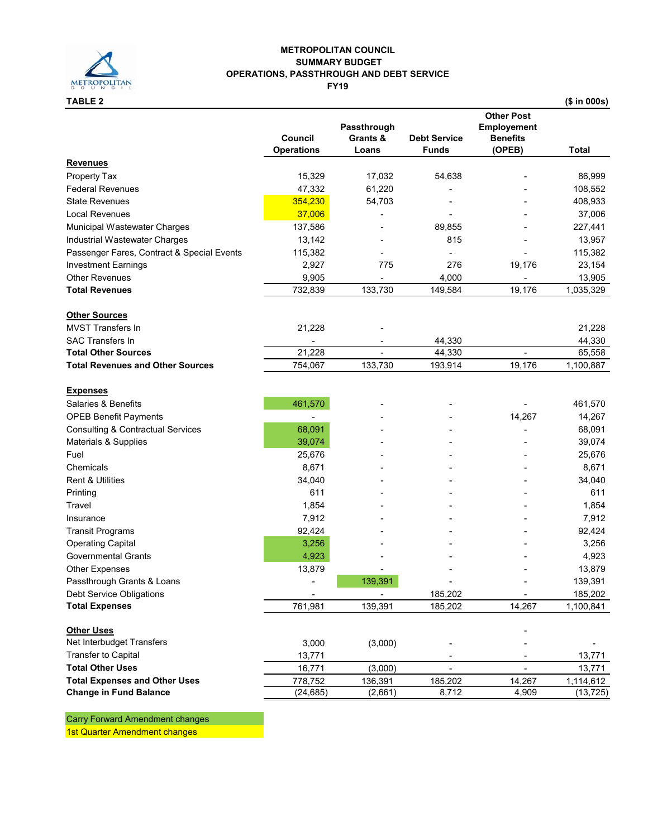

## **METROPOLITAN COUNCIL SUMMARY BUDGET OPERATIONS, PASSTHROUGH AND DEBT SERVICE**

**FY19**

|                                              | <b>Council</b>    | Passthrough<br>Grants & | <b>Debt Service</b> | <b>Other Post</b><br><b>Employement</b><br><b>Benefits</b> |              |
|----------------------------------------------|-------------------|-------------------------|---------------------|------------------------------------------------------------|--------------|
|                                              | <b>Operations</b> | Loans                   | <b>Funds</b>        | (OPEB)                                                     | <b>Total</b> |
| <u>Revenues</u>                              |                   |                         |                     |                                                            |              |
| Property Tax                                 | 15,329            | 17,032                  | 54,638              |                                                            | 86,999       |
| <b>Federal Revenues</b>                      | 47,332            | 61,220                  |                     |                                                            | 108,552      |
| <b>State Revenues</b>                        | 354,230           | 54,703                  |                     |                                                            | 408,933      |
| <b>Local Revenues</b>                        | 37,006            |                         |                     |                                                            | 37,006       |
| Municipal Wastewater Charges                 | 137,586           |                         | 89,855              |                                                            | 227,441      |
| Industrial Wastewater Charges                | 13,142            |                         | 815                 |                                                            | 13,957       |
| Passenger Fares, Contract & Special Events   | 115,382           |                         |                     |                                                            | 115,382      |
| <b>Investment Earnings</b>                   | 2,927             | 775                     | 276                 | 19,176                                                     | 23,154       |
| <b>Other Revenues</b>                        | 9,905             |                         | 4,000               |                                                            | 13,905       |
| <b>Total Revenues</b>                        | 732,839           | 133,730                 | 149,584             | 19,176                                                     | 1,035,329    |
| <b>Other Sources</b>                         |                   |                         |                     |                                                            |              |
| <b>MVST Transfers In</b>                     | 21,228            |                         |                     |                                                            | 21,228       |
| <b>SAC Transfers In</b>                      |                   |                         | 44,330              |                                                            | 44,330       |
| <b>Total Other Sources</b>                   | 21,228            |                         | 44,330              |                                                            | 65,558       |
| <b>Total Revenues and Other Sources</b>      | 754,067           | 133,730                 | 193,914             | 19,176                                                     | 1,100,887    |
| <b>Expenses</b>                              |                   |                         |                     |                                                            |              |
| Salaries & Benefits                          | 461,570           |                         |                     |                                                            | 461,570      |
| <b>OPEB Benefit Payments</b>                 |                   |                         |                     | 14,267                                                     | 14,267       |
| <b>Consulting &amp; Contractual Services</b> | 68,091            |                         |                     |                                                            | 68,091       |
| Materials & Supplies                         | 39,074            |                         |                     |                                                            | 39,074       |
| Fuel                                         | 25,676            |                         |                     |                                                            | 25,676       |
| Chemicals                                    | 8,671             |                         |                     |                                                            | 8,671        |
| Rent & Utilities                             | 34,040            |                         |                     |                                                            | 34,040       |
| Printing                                     | 611               |                         |                     |                                                            | 611          |
| Travel                                       | 1,854             |                         |                     |                                                            |              |
|                                              |                   |                         |                     |                                                            | 1,854        |
| Insurance                                    | 7,912             |                         |                     |                                                            | 7,912        |
| <b>Transit Programs</b>                      | 92,424            |                         |                     |                                                            | 92,424       |
| <b>Operating Capital</b>                     | 3,256             |                         |                     |                                                            | 3,256        |
| <b>Governmental Grants</b>                   | 4,923             |                         |                     |                                                            | 4,923        |
| <b>Other Expenses</b>                        | 13,879            |                         |                     |                                                            | 13,879       |
| Passthrough Grants & Loans                   |                   | 139,391                 |                     |                                                            | 139,391      |
| Debt Service Obligations                     |                   |                         | 185,202             |                                                            | 185,202      |
| <b>Total Expenses</b>                        | 761,981           | 139,391                 | 185,202             | 14,267                                                     | 1,100,841    |
| <b>Other Uses</b>                            |                   |                         |                     |                                                            |              |
| Net Interbudget Transfers                    | 3,000             | (3,000)                 |                     |                                                            |              |
| <b>Transfer to Capital</b>                   | 13,771            |                         |                     |                                                            | 13,771       |
| <b>Total Other Uses</b>                      | 16,771            | (3,000)                 | $\blacksquare$      | ÷.                                                         | 13,771       |
| <b>Total Expenses and Other Uses</b>         | 778,752           | 136,391                 | 185,202             | 14,267                                                     | 1,114,612    |
| <b>Change in Fund Balance</b>                | (24, 685)         | (2,661)                 | 8,712               | 4,909                                                      | (13, 725)    |

Carry Forward Amendment changes

1st Quarter Amendment changes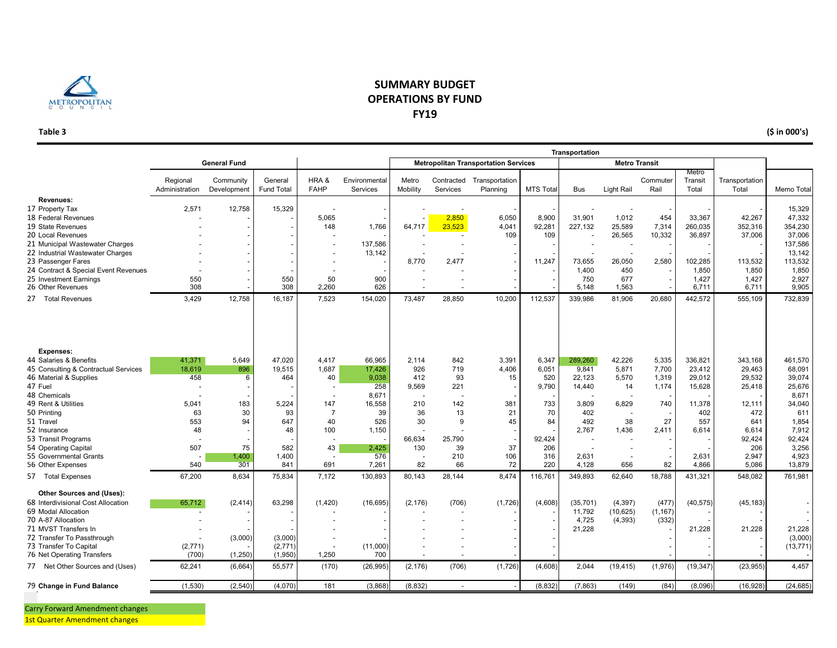

#### **Table 3**

#### **SUMMARY BUDGET OPERATIONS BY FUNDFY19**

| (\$ in 000's) |
|---------------|

|                                                      |                  |                     |                              |                     |                           |                   |           |                                             |                 | Transportation   |                      |                  |                  |                         |                  |
|------------------------------------------------------|------------------|---------------------|------------------------------|---------------------|---------------------------|-------------------|-----------|---------------------------------------------|-----------------|------------------|----------------------|------------------|------------------|-------------------------|------------------|
|                                                      |                  | <b>General Fund</b> |                              |                     |                           |                   |           | <b>Metropolitan Transportation Services</b> |                 |                  | <b>Metro Transit</b> |                  |                  |                         |                  |
|                                                      |                  |                     |                              |                     |                           |                   |           |                                             |                 |                  |                      |                  | Metro            |                         |                  |
|                                                      | Regional         | Community           | General<br><b>Fund Total</b> | HRA&<br><b>FAHP</b> | Environmental<br>Services | Metro<br>Mobility | Services  | Contracted Transportation<br>Planning       | <b>MTS Tota</b> | <b>Bus</b>       | Light Rail           | Commuter<br>Rail | Transit<br>Total | Transportation<br>Total | Memo Total       |
|                                                      | Administration   | Development         |                              |                     |                           |                   |           |                                             |                 |                  |                      |                  |                  |                         |                  |
| Revenues:<br>17 Property Tax                         | 2,571            | 12,758              | 15,329                       |                     |                           |                   |           |                                             |                 |                  |                      |                  |                  |                         | 15,329           |
| 18 Federal Revenues                                  |                  |                     |                              | 5.065               |                           |                   | 2,850     | 6.050                                       | 8.900           | 31.901           | 1,012                | 454              | 33.367           | 42.267                  | 47,332           |
| 19 State Revenues                                    |                  |                     |                              | 148                 | 1,766                     | 64,717            | 23,523    | 4,041                                       | 92,281          | 227,132          | 25,589               | 7,314            | 260,035          | 352,316                 | 354,230          |
| 20 Local Revenues                                    |                  |                     |                              |                     |                           |                   |           | 109                                         | 109             |                  | 26,565               | 10,332           | 36,897           | 37,006                  | 37,006           |
| 21 Municipal Wastewater Charges                      |                  |                     |                              |                     | 137,586                   |                   |           |                                             |                 |                  |                      |                  |                  |                         | 137,586          |
| 22 Industrial Wastewater Charges                     |                  |                     |                              |                     | 13,142                    |                   |           |                                             |                 |                  | $\overline{a}$       |                  |                  |                         | 13,142           |
| 23 Passenger Fares                                   |                  |                     |                              |                     |                           | 8.770             | 2,477     |                                             | 11,247          | 73,655           | 26,050               | 2,580            | 102,285          | 113,532                 | 113,532          |
| 24 Contract & Special Event Revenues                 |                  |                     |                              |                     |                           |                   |           |                                             |                 | 1,400            | 450                  |                  | 1,850            | 1,850                   | 1,850            |
| 25 Investment Earnings<br>26 Other Revenues          | 550<br>308       |                     | 550<br>308                   | 50<br>2,260         | 900<br>626                |                   |           |                                             |                 | 750<br>5,148     | 677<br>1,563         |                  | 1,427<br>6,711   | 1,427<br>6,711          | 2,927<br>9,905   |
|                                                      |                  |                     |                              |                     |                           |                   |           |                                             |                 |                  |                      |                  |                  |                         |                  |
| 27 Total Revenues                                    | 3,429            | 12,758              | 16,187                       | 7,523               | 154,020                   | 73,487            | 28,850    | 10,200                                      | 112,537         | 339,986          | 81,906               | 20,680           | 442,572          | 555,109                 | 732,839          |
|                                                      |                  |                     |                              |                     |                           |                   |           |                                             |                 |                  |                      |                  |                  |                         |                  |
| Expenses:                                            |                  |                     |                              |                     |                           |                   |           |                                             |                 |                  |                      |                  |                  |                         |                  |
| 44 Salaries & Benefits                               | 41,371           | 5,649               | 47.020                       | 4.417               | 66.965                    | 2.114             | 842       | 3.391                                       | 6.347           | 289.260          | 42.226               | 5,335            | 336.821          | 343.168                 | 461,570          |
| 45 Consulting & Contractual Services                 | 18.619           | 896                 | 19.515                       | 1.687               | 17.426                    | 926               | 719       | 4,406                                       | 6.051           | 9.841            | 5.871                | 7,700            | 23.412           | 29.463                  | 68,091           |
| 46 Material & Supplies<br>47 Fuel                    | 458              | 6                   | 464                          | 40                  | 9,038<br>258              | 412<br>9,569      | 93<br>221 | 15<br>$\overline{\phantom{a}}$              | 520<br>9,790    | 22,123<br>14,440 | 5,570<br>14          | 1,319<br>1,174   | 29,012<br>15,628 | 29,532<br>25,418        | 39,074<br>25,676 |
| 48 Chemicals                                         |                  |                     |                              |                     | 8,671                     |                   |           |                                             |                 |                  |                      |                  |                  |                         | 8,671            |
| 49 Rent & Utilities                                  | 5,041            | 183                 | 5,224                        | 147                 | 16,558                    | 210               | 142       | 381                                         | 733             | 3,809            | 6,829                | 740              | 11,378           | 12,111                  | 34,040           |
| 50 Printing                                          | 63               | 30                  | 93                           | $\overline{7}$      | 39                        | 36                | 13        | 21                                          | 70              | 402              |                      |                  | 402              | 472                     | 611              |
| 51 Travel                                            | 553              | 94                  | 647                          | 40                  | 526                       | 30                | 9         | 45                                          | 84              | 492              | 38                   | 27               | 557              | 641                     | 1,854            |
| 52 Insurance                                         | 48               |                     | 48                           | 100                 | 1,150                     |                   |           |                                             |                 | 2,767            | 1,436                | 2,411            | 6,614            | 6,614                   | 7,912            |
| 53 Transit Programs                                  |                  |                     |                              |                     |                           | 66,634            | 25,790    |                                             | 92,424          |                  |                      |                  |                  | 92,424                  | 92,424           |
| 54 Operating Capital                                 | 507              | 75                  | 582                          | 43                  | 2,425                     | 130               | 39        | 37                                          | 206             |                  |                      |                  |                  | 206                     | 3,256            |
| 55 Governmental Grants<br>56 Other Expenses          | 540              | 1.400<br>301        | 1.400<br>841                 | 691                 | 576<br>7,261              | 82                | 210<br>66 | 106<br>72                                   | 316<br>220      | 2.631<br>4.128   | 656                  | 82               | 2.631<br>4.866   | 2.947<br>5.086          | 4.923<br>13,879  |
|                                                      |                  |                     |                              |                     |                           |                   |           |                                             |                 |                  |                      |                  |                  |                         |                  |
| 57 Total Expenses                                    | 67,200           | 8,634               | 75,834                       | 7,172               | 130,893                   | 80,143            | 28,144    | 8,474                                       | 116,761         | 349,893          | 62,640               | 18,788           | 431,321          | 548,082                 | 761,981          |
| Other Sources and (Uses):                            |                  |                     |                              |                     |                           |                   |           |                                             |                 |                  |                      |                  |                  |                         |                  |
| 68 Interdivisional Cost Allocation                   | 65,712           | (2, 414)            | 63,298                       | (1,420)             | (16, 695)                 | (2, 176)          | (706)     | (1,726)                                     | (4,608)         | (35, 701)        | (4, 397)             | (477)            | (40, 575)        | (45, 183)               |                  |
| 69 Modal Allocation                                  |                  |                     |                              |                     |                           |                   |           |                                             |                 | 11,792           | (10, 625)            | (1, 167)         |                  |                         |                  |
| 70 A-87 Allocation                                   |                  |                     |                              |                     |                           |                   |           |                                             |                 | 4,725            | (4, 393)             | (332)            |                  |                         |                  |
| 71 MVST Transfers In                                 |                  |                     |                              |                     |                           |                   |           |                                             |                 | 21,228           |                      |                  | 21,228           | 21,228                  | 21,228           |
| 72 Transfer To Passthrough                           |                  | (3,000)             | (3,000)                      |                     |                           |                   |           |                                             |                 |                  |                      |                  |                  |                         | (3,000)          |
| 73 Transfer To Capital<br>76 Net Operating Transfers | (2,771)<br>(700) | (1,250)             | (2,771)<br>(1,950)           | 1,250               | (11,000)<br>700           | $\overline{a}$    |           |                                             |                 |                  |                      |                  |                  |                         | (13, 771)        |
| 77 Net Other Sources and (Uses)                      | 62.241           | (6,664)             | 55,577                       | (170)               | (26, 995)                 | (2, 176)          | (706)     | (1,726)                                     | (4,608)         | 2.044            | (19, 415)            | (1,976)          | (19, 347)        | (23, 955)               | 4,457            |
|                                                      |                  |                     |                              |                     |                           |                   |           |                                             |                 |                  |                      |                  |                  |                         |                  |
| 79 Change in Fund Balance                            | (1,530)          | (2,540)             | (4,070)                      | 181                 | (3,868)                   | (8, 832)          |           |                                             | (8, 832)        | (7, 863)         | (149)                | (84)             | (8,096)          | (16.928)                | (24, 685)        |
|                                                      |                  |                     |                              |                     |                           |                   |           |                                             |                 |                  |                      |                  |                  |                         |                  |

Carry Forward Amendment changes

**1st Quarter Amendment changes American Strategy**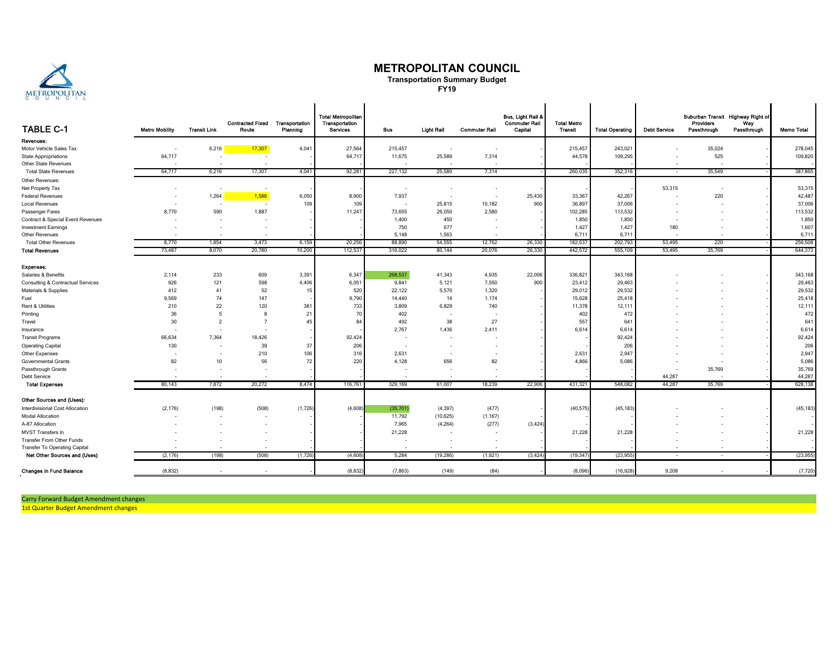

#### **METROPOLITAN COUNCIL**

**Transportation Summary Budget FY19**

| <b>TABLE C-1</b>                  | <b>Metro Mobility</b>    | <b>Transit Link</b> | <b>Contracted Fixed</b><br>Route | Transportation<br>Planning | <b>Total Metropolitan</b><br>Transportation<br>Services | Bus                      | <b>Light Rail</b>        | <b>Commuter Rail</b>     | Bus, Light Rail &<br><b>Commuter Rail</b><br>Capital | <b>Total Metro</b><br>Transit | <b>Total Operating</b> | <b>Debt Service</b> | Suburban Transit Highway Right of<br><b>Providers</b><br>Passthrough | Wav<br>Passthrough | <b>Memo Total</b> |
|-----------------------------------|--------------------------|---------------------|----------------------------------|----------------------------|---------------------------------------------------------|--------------------------|--------------------------|--------------------------|------------------------------------------------------|-------------------------------|------------------------|---------------------|----------------------------------------------------------------------|--------------------|-------------------|
| Revenues:                         |                          |                     |                                  |                            |                                                         |                          |                          |                          |                                                      |                               |                        |                     |                                                                      |                    |                   |
| Motor Vehicle Sales Tax           |                          | 6,216               | 17,307                           | 4,041                      | 27,564                                                  | 215,457                  | $\sim$                   |                          |                                                      | 215,457                       | 243,021                |                     | 35,024                                                               |                    | 278,045           |
| <b>State Appropriations</b>       | 64,717                   |                     |                                  |                            | 64,717                                                  | 11,675                   | 25,589                   | 7,314                    |                                                      | 44,578                        | 109,295                |                     | 525                                                                  |                    | 109,820           |
| Other State Revenues              |                          |                     |                                  |                            |                                                         | - 2                      |                          | - 2                      |                                                      |                               |                        |                     |                                                                      |                    |                   |
| <b>Total State Revenues</b>       | 64,717                   | 6,216               | 17,307                           | 4,041                      | 92,281                                                  | 227,132                  | 25,589                   | 7,314                    |                                                      | 260,035                       | 352,316                | $\sim$              | 35.549                                                               |                    | 387,865           |
| Other Revenues:                   |                          |                     |                                  |                            |                                                         |                          |                          |                          |                                                      |                               |                        |                     |                                                                      |                    |                   |
| Net Property Tax                  |                          |                     |                                  |                            |                                                         |                          | $\overline{\phantom{a}}$ | $\overline{\phantom{a}}$ |                                                      |                               |                        | 53,315              |                                                                      |                    | 53,315            |
| <b>Federal Revenues</b>           | $\overline{\phantom{a}}$ | 1,264               | 1,586                            | 6,050                      | 8,900                                                   | 7,937                    | . .                      | $\overline{\phantom{a}}$ | 25,430                                               | 33,367                        | 42,267                 |                     | 220                                                                  |                    | 42,487            |
| <b>Local Revenues</b>             |                          |                     |                                  | 109                        | 109                                                     | $\overline{\phantom{a}}$ | 25,815                   | 10,182                   | 900                                                  | 36,897                        | 37,006                 |                     |                                                                      |                    | 37,006            |
| Passenger Fares                   | 8,770                    | 590                 | 1,887                            |                            | 11,247                                                  | 73,655                   | 26,050                   | 2,580                    |                                                      | 102,285                       | 113,532                |                     |                                                                      |                    | 113,532           |
| Contract & Special Event Revenues |                          |                     |                                  |                            |                                                         | 1,400                    | 450                      |                          |                                                      | 1,850                         | 1,850                  |                     |                                                                      |                    | 1,850             |
| <b>Investment Earnings</b>        |                          |                     |                                  |                            |                                                         | 750                      | 677                      | $\sim$                   |                                                      | 1,427                         | 1,427                  | 180                 |                                                                      |                    | 1,607             |
| Other Revenues                    |                          |                     |                                  |                            |                                                         | 5.148                    | 1,563                    |                          |                                                      | 6,711                         | 6,711                  |                     |                                                                      |                    | 6,711             |
| <b>Total Other Revenues</b>       | 8,770                    | 1,854               | 3,473                            | 6,159                      | 20,256                                                  | 88,890                   | 54,555                   | 12,762                   | 26,330                                               | 182,537                       | 202,793                | 53,495              | 220                                                                  |                    | 256,508           |
| <b>Total Revenues</b>             | 73,487                   | 8,070               | 20,780                           | 10,200                     | 112,537                                                 | 316,022                  | 80,144                   | 20,076                   | 26,330                                               | 442,572                       | 555,109                | 53,495              | 35,769                                                               |                    | 644,373           |
| Expenses:                         |                          |                     |                                  |                            |                                                         |                          |                          |                          |                                                      |                               |                        |                     |                                                                      |                    |                   |
| Salaries & Benefits               | 2,114                    | 233                 | 609                              | 3,391                      | 6,347                                                   | 268,537                  | 41,343                   | 4,935                    | 22,006                                               | 336,821                       | 343,168                |                     |                                                                      |                    | 343,168           |
| Consulting & Contractual Services | 926                      | 121                 | 598                              | 4,406                      | 6,051                                                   | 9,841                    | 5,121                    | 7,550                    | 900                                                  | 23,412                        | 29,463                 |                     |                                                                      |                    | 29,463            |
| Materials & Supplies              | 412                      | 41                  | 52                               | 15                         | 520                                                     | 22,122                   | 5,570                    | 1,320                    |                                                      | 29,012                        | 29,532                 |                     |                                                                      |                    | 29,532            |
| Fuel                              | 9,569                    | 74                  | 147                              |                            | 9,790                                                   | 14,440                   | 14                       | 1,174                    |                                                      | 15,628                        | 25,418                 |                     |                                                                      |                    | 25,418            |
| Rent & Utilities                  | 210                      | 22                  | 120                              | 381                        | 733                                                     | 3,809                    | 6,829                    | 740                      |                                                      | 11,378                        | 12,111                 |                     |                                                                      |                    | 12,111            |
| Printing                          | 36                       | 5                   | 8                                | 21                         | 70                                                      | 402                      |                          |                          |                                                      | 402                           | 472                    |                     |                                                                      |                    | 472               |
| Travel                            | 30                       | $\overline{2}$      | $\overline{7}$                   | 45                         | 84                                                      | 492                      | 38                       | 27                       |                                                      | 557                           | 641                    |                     |                                                                      |                    | 641               |
| Insurance                         |                          |                     |                                  |                            |                                                         | 2,767                    | 1,436                    | 2,411                    |                                                      | 6,614                         | 6,614                  |                     |                                                                      |                    | 6,614             |
| <b>Transit Programs</b>           | 66,634                   | 7,364               | 18,426                           |                            | 92,424                                                  |                          |                          |                          |                                                      |                               | 92,424                 |                     |                                                                      |                    | 92,424            |
| <b>Operating Capital</b>          | 130                      |                     | 39                               | 37                         | 206                                                     | ٠.                       |                          |                          |                                                      |                               | 206                    |                     |                                                                      |                    | 206               |
| Other Expenses                    |                          |                     | 210                              | 106                        | 316                                                     | 2,631                    | ٠.                       |                          |                                                      | 2,63                          | 2,947                  |                     |                                                                      |                    | 2,947             |
| Governmental Grants               | 82                       | 10                  | 56                               | 72                         | 220                                                     | 4,128                    | 656                      | 82                       |                                                      | 4,866                         | 5,086                  |                     |                                                                      |                    | 5,086             |
| Passthrough Grants                |                          |                     |                                  |                            |                                                         |                          |                          |                          |                                                      |                               |                        |                     | 35,769                                                               |                    | 35,769            |
| Debt Service                      |                          |                     |                                  |                            |                                                         |                          |                          |                          |                                                      |                               |                        | 44.287              |                                                                      |                    | 44,287            |
| <b>Total Expenses</b>             | 80,143                   | 7,872               | 20,272                           | 8,474                      | 116,76                                                  | 329,169                  | 61,007                   | 18,239                   | 22,906                                               | 431,32                        | 548,082                | 44,287              | 35,769                                                               |                    | 628,138           |
| Other Sources and (Uses):         |                          |                     |                                  |                            |                                                         |                          |                          |                          |                                                      |                               |                        |                     |                                                                      |                    |                   |
| Interdivisional Cost Allocation   | (2, 176)                 | (198)               | (508)                            | (1,726)                    | (4,608)                                                 | (35,701)                 | (4, 397)                 | (477)                    |                                                      | (40, 575)                     | (45, 183)              |                     |                                                                      |                    | (45, 183)         |
| Modal Allocation                  |                          |                     |                                  |                            |                                                         | 11,792                   | (10, 625)                | (1, 167)                 |                                                      |                               |                        |                     |                                                                      |                    |                   |
| A-87 Allocation                   |                          |                     |                                  |                            |                                                         | 7,965                    | (4, 264)                 | (277)                    | (3, 424)                                             |                               |                        |                     |                                                                      |                    |                   |
| MVST Transfers In                 |                          |                     |                                  |                            |                                                         | 21,228                   |                          |                          |                                                      | 21,228                        | 21,228                 |                     |                                                                      |                    | 21,228            |
| Transfer From Other Funds         |                          |                     |                                  |                            |                                                         |                          |                          |                          |                                                      |                               |                        |                     |                                                                      |                    |                   |
| Transfer To Operating Capital     |                          |                     |                                  |                            |                                                         |                          |                          |                          |                                                      |                               |                        |                     |                                                                      |                    |                   |
| Net Other Sources and (Uses)      | (2, 176)                 | (198)               | (508)                            | (1,726)                    | (4,608)                                                 | 5,284                    | (19, 286)                | (1, 921)                 | (3, 424)                                             | (19,347                       | (23, 955)              |                     |                                                                      |                    | (23, 955)         |
| <b>Changes in Fund Balance</b>    | (8, 832)                 |                     |                                  |                            | (8, 832)                                                | (7, 863)                 | (149)                    | (84)                     |                                                      | (8,096)                       | (16, 928)              | 9,208               |                                                                      |                    | (7, 720)          |
|                                   |                          |                     |                                  |                            |                                                         |                          |                          |                          |                                                      |                               |                        |                     |                                                                      |                    |                   |

Carry Forward Budget Amendment changes 1st Quarter Budget Amendment changes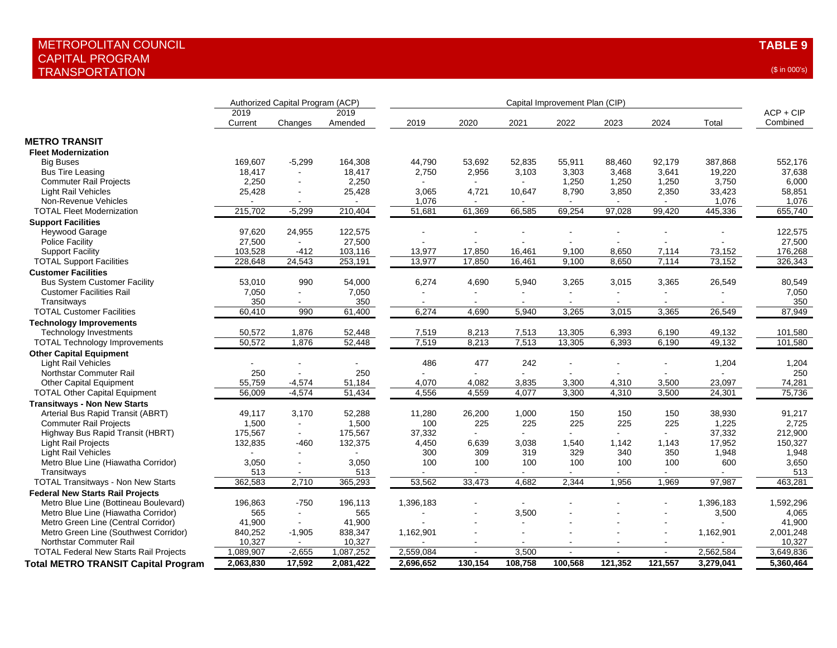|                                               |                 | Authorized Capital Program (ACP) |                 |           | Capital Improvement Plan (CIP) |                |         |         |         |           |                         |  |  |
|-----------------------------------------------|-----------------|----------------------------------|-----------------|-----------|--------------------------------|----------------|---------|---------|---------|-----------|-------------------------|--|--|
|                                               | 2019<br>Current | Changes                          | 2019<br>Amended | 2019      | 2020                           | 2021           | 2022    | 2023    | 2024    | Total     | $ACP + CIP$<br>Combined |  |  |
| <b>METRO TRANSIT</b>                          |                 |                                  |                 |           |                                |                |         |         |         |           |                         |  |  |
| <b>Fleet Modernization</b>                    |                 |                                  |                 |           |                                |                |         |         |         |           |                         |  |  |
| <b>Big Buses</b>                              | 169,607         | $-5,299$                         | 164,308         | 44,790    | 53,692                         | 52,835         | 55,911  | 88,460  | 92,179  | 387,868   | 552,176                 |  |  |
| <b>Bus Tire Leasing</b>                       | 18,417          |                                  | 18,417          | 2,750     | 2,956                          | 3,103          | 3,303   | 3,468   | 3,641   | 19,220    | 37,638                  |  |  |
| <b>Commuter Rail Projects</b>                 | 2,250           |                                  | 2,250           |           |                                |                | 1,250   | 1,250   | 1,250   | 3,750     | 6,000                   |  |  |
| Light Rail Vehicles                           | 25,428          |                                  | 25,428          | 3,065     | 4,721                          | 10,647         | 8,790   | 3,850   | 2,350   | 33,423    | 58,851                  |  |  |
| Non-Revenue Vehicles                          |                 |                                  |                 | 1,076     |                                |                |         |         |         | 1,076     | 1,076                   |  |  |
| <b>TOTAL Fleet Modernization</b>              | 215,702         | $-5,299$                         | 210,404         | 51,681    | 61,369                         | 66,585         | 69,254  | 97,028  | 99,420  | 445,336   | 655,740                 |  |  |
| <b>Support Facilities</b>                     |                 |                                  |                 |           |                                |                |         |         |         |           |                         |  |  |
| Heywood Garage                                | 97,620          | 24,955                           | 122,575         |           |                                |                |         |         |         |           | 122,575                 |  |  |
| <b>Police Facility</b>                        | 27,500          |                                  | 27,500          |           |                                |                |         |         |         |           | 27,500                  |  |  |
| <b>Support Facility</b>                       | 103,528         | -412                             | 103,116         | 13,977    | 17,850                         | 16,461         | 9,100   | 8,650   | 7,114   | 73,152    | 176,268                 |  |  |
| <b>TOTAL Support Facilities</b>               | 228,648         | 24,543                           | 253,191         | 13,977    | 17,850                         | 16,461         | 9,100   | 8,650   | 7,114   | 73,152    | 326,343                 |  |  |
| <b>Customer Facilities</b>                    |                 |                                  |                 |           |                                |                |         |         |         |           |                         |  |  |
|                                               |                 | 990                              |                 |           |                                |                |         |         |         |           |                         |  |  |
| <b>Bus System Customer Facility</b>           | 53,010          |                                  | 54,000          | 6,274     | 4,690                          | 5,940          | 3,265   | 3,015   | 3,365   | 26,549    | 80,549                  |  |  |
| <b>Customer Facilities Rail</b>               | 7,050           |                                  | 7,050           |           |                                |                |         | ÷       |         |           | 7,050                   |  |  |
| Transitways                                   | 350             |                                  | 350             |           |                                |                |         |         | $\sim$  |           | 350                     |  |  |
| <b>TOTAL Customer Facilities</b>              | 60,410          | 990                              | 61,400          | 6,274     | 4,690                          | 5,940          | 3,265   | 3,015   | 3,365   | 26,549    | 87,949                  |  |  |
| <b>Technology Improvements</b>                |                 |                                  |                 |           |                                |                |         |         |         |           |                         |  |  |
| <b>Technology Investments</b>                 | 50,572          | 1,876                            | 52,448          | 7,519     | 8,213                          | 7,513          | 13,305  | 6,393   | 6,190   | 49,132    | 101,580                 |  |  |
| <b>TOTAL Technology Improvements</b>          | 50,572          | 1,876                            | 52,448          | 7,519     | 8,213                          | 7,513          | 13,305  | 6,393   | 6,190   | 49,132    | 101,580                 |  |  |
| <b>Other Capital Equipment</b>                |                 |                                  |                 |           |                                |                |         |         |         |           |                         |  |  |
| <b>Light Rail Vehicles</b>                    |                 |                                  |                 | 486       | 477                            | 242            |         |         |         | 1,204     | 1,204                   |  |  |
| Northstar Commuter Rail                       | 250             |                                  | 250             |           |                                |                |         |         |         |           | 250                     |  |  |
| Other Capital Equipment                       | 55,759          | $-4,574$                         | 51,184          | 4,070     | 4,082                          | 3,835          | 3,300   | 4,310   | 3,500   | 23,097    | 74,281                  |  |  |
| <b>TOTAL Other Capital Equipment</b>          | 56,009          | $-4,574$                         | 51,434          | 4,556     | 4,559                          | 4,077          | 3,300   | 4,310   | 3,500   | 24,301    | 75,736                  |  |  |
| <b>Transitways - Non New Starts</b>           |                 |                                  |                 |           |                                |                |         |         |         |           |                         |  |  |
| Arterial Bus Rapid Transit (ABRT)             | 49,117          | 3,170                            | 52,288          | 11,280    | 26,200                         | 1,000          | 150     | 150     | 150     | 38,930    | 91,217                  |  |  |
| <b>Commuter Rail Projects</b>                 | 1,500           |                                  | 1,500           | 100       | 225                            | 225            | 225     | 225     | 225     | 1,225     | 2,725                   |  |  |
| Highway Bus Rapid Transit (HBRT)              | 175,567         | $\sim$                           | 175,567         | 37,332    |                                |                |         |         |         | 37,332    | 212,900                 |  |  |
| <b>Light Rail Projects</b>                    | 132,835         | -460                             | 132,375         | 4,450     | 6,639                          | 3,038          | 1,540   | 1,142   | 1,143   | 17,952    | 150,327                 |  |  |
| <b>Light Rail Vehicles</b>                    |                 |                                  |                 | 300       | 309                            | 319            | 329     | 340     | 350     | 1,948     | 1,948                   |  |  |
| Metro Blue Line (Hiawatha Corridor)           | 3.050           |                                  | 3,050           | 100       | 100                            | 100            | 100     | 100     | 100     | 600       | 3,650                   |  |  |
| Transitways                                   | 513             | $\sim$                           | 513             |           |                                | $\blacksquare$ |         |         |         |           | 513                     |  |  |
| <b>TOTAL Transitways - Non New Starts</b>     | 362,583         | 2,710                            | 365,293         | 53,562    | 33,473                         | 4,682          | 2,344   | 1,956   | 1,969   | 97,987    | 463,281                 |  |  |
| <b>Federal New Starts Rail Projects</b>       |                 |                                  |                 |           |                                |                |         |         |         |           |                         |  |  |
| Metro Blue Line (Bottineau Boulevard)         | 196,863         | $-750$                           | 196,113         | 1,396,183 |                                |                |         |         |         | 1,396,183 | 1,592,296               |  |  |
| Metro Blue Line (Hiawatha Corridor)           | 565             | $\sim$                           | 565             |           |                                | 3,500          |         |         |         | 3,500     | 4,065                   |  |  |
| Metro Green Line (Central Corridor)           | 41,900          | $\sim$                           | 41,900          |           |                                |                |         |         |         |           | 41,900                  |  |  |
| Metro Green Line (Southwest Corridor)         | 840,252         | $-1,905$                         | 838,347         | 1,162,901 |                                |                |         |         |         | 1,162,901 | 2,001,248               |  |  |
| Northstar Commuter Rail                       | 10,327          | $\sim$                           | 10,327          |           |                                |                |         |         |         |           | 10,327                  |  |  |
| <b>TOTAL Federal New Starts Rail Projects</b> | 1,089,907       | $-2,655$                         | 1,087,252       | 2,559,084 |                                | 3,500          |         |         |         | 2,562,584 | 3,649,836               |  |  |
| <b>Total METRO TRANSIT Capital Program</b>    | 2,063,830       | 17,592                           | 2,081,422       | 2,696,652 | 130,154                        | 108,758        | 100,568 | 121,352 | 121,557 | 3,279,041 | 5,360,464               |  |  |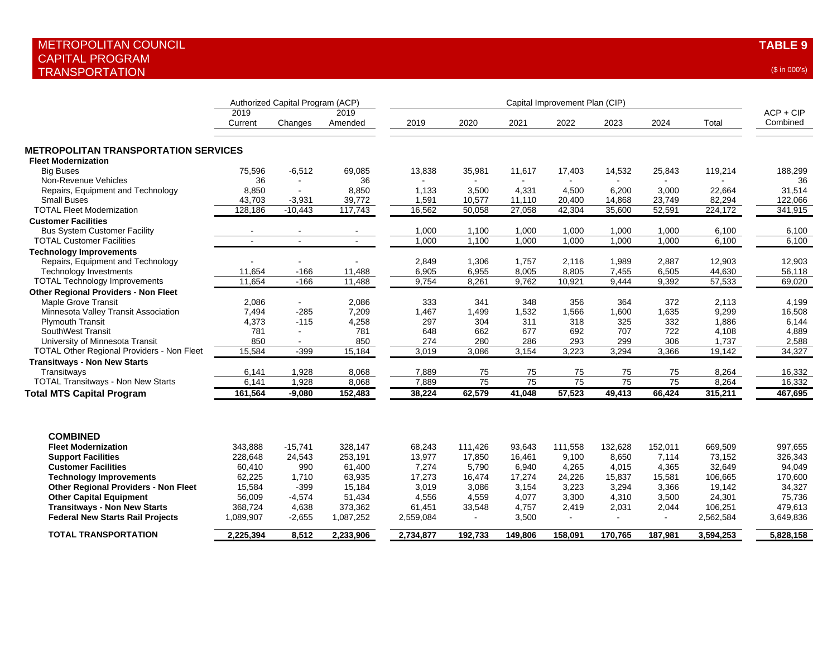|                                                                               |                 | Authorized Capital Program (ACP) |                 |              | Capital Improvement Plan (CIP) |                 |                 |                 |                 |                 |                         |  |  |
|-------------------------------------------------------------------------------|-----------------|----------------------------------|-----------------|--------------|--------------------------------|-----------------|-----------------|-----------------|-----------------|-----------------|-------------------------|--|--|
|                                                                               | 2019<br>Current | Changes                          | 2019<br>Amended | 2019         | 2020                           | 2021            | 2022            | 2023            | 2024            | Total           | $ACP + CIP$<br>Combined |  |  |
| <b>METROPOLITAN TRANSPORTATION SERVICES</b>                                   |                 |                                  |                 |              |                                |                 |                 |                 |                 |                 |                         |  |  |
| <b>Fleet Modernization</b><br><b>Big Buses</b>                                | 75,596          | $-6,512$                         | 69,085          | 13,838       | 35,981                         | 11,617          | 17,403          | 14,532          | 25,843          | 119,214         | 188,299                 |  |  |
| Non-Revenue Vehicles                                                          | 36              |                                  | 36              |              |                                | $\sim$          |                 | $\blacksquare$  | $\sim$          |                 | 36                      |  |  |
| Repairs, Equipment and Technology                                             | 8,850           | $\sim$                           | 8,850           | 1,133        | 3,500                          | 4,331           | 4,500           | 6,200           | 3,000           | 22,664          | 31,514                  |  |  |
| <b>Small Buses</b>                                                            | 43,703          | $-3,931$                         | 39,772          | 1,591        | 10,577                         | 11,110          | 20,400          | 14,868          | 23,749          | 82,294          | 122,066                 |  |  |
| <b>TOTAL Fleet Modernization</b>                                              | 128,186         | $-10,443$                        | 117,743         | 16,562       | 50,058                         | 27,058          | 42,304          | 35,600          | 52,591          | 224,172         | 341,915                 |  |  |
| <b>Customer Facilities</b>                                                    |                 |                                  |                 |              |                                |                 |                 |                 |                 |                 |                         |  |  |
| <b>Bus System Customer Facility</b>                                           |                 |                                  |                 | 1,000        | 1,100                          | 1,000           | 1,000           | 1,000           | 1,000           | 6,100           | 6,100                   |  |  |
| <b>TOTAL Customer Facilities</b>                                              |                 |                                  |                 | 1,000        | 1,100                          | 1,000           | 1,000           | 1,000           | 1.000           | 6,100           | 6,100                   |  |  |
| <b>Technology Improvements</b>                                                |                 |                                  |                 |              |                                |                 |                 |                 |                 |                 |                         |  |  |
| Repairs, Equipment and Technology                                             |                 |                                  |                 | 2,849        | 1,306                          | 1,757           | 2.116           | 1,989           | 2,887           | 12,903          | 12,903                  |  |  |
| <b>Technology Investments</b>                                                 | 11,654          | $-166$                           | 11,488          | 6,905        | 6,955                          | 8,005           | 8,805           | 7,455           | 6,505           | 44,630          | 56,118                  |  |  |
| <b>TOTAL Technology Improvements</b>                                          | 11,654          | $-166$                           | 11,488          | 9,754        | 8,261                          | 9,762           | 10,921          | 9,444           | 9,392           | 57,533          | 69,020                  |  |  |
| <b>Other Regional Providers - Non Fleet</b>                                   |                 |                                  |                 |              |                                |                 |                 |                 |                 |                 |                         |  |  |
| <b>Maple Grove Transit</b>                                                    | 2,086           | $\sim$                           | 2,086           | 333          | 341                            | 348             | 356             | 364             | 372             | 2,113           | 4,199                   |  |  |
| Minnesota Valley Transit Association                                          | 7,494           | $-285$                           | 7,209           | 1,467        | 1,499                          | 1,532           | 1,566           | 1,600           | 1,635           | 9,299           | 16,508                  |  |  |
| <b>Plymouth Transit</b>                                                       | 4,373           | $-115$                           | 4,258           | 297          | 304                            | 311             | 318             | 325             | 332             | 1,886           | 6,144                   |  |  |
| SouthWest Transit                                                             | 781             | $\blacksquare$                   | 781             | 648          | 662<br>280                     | 677             | 692<br>293      | 707             | 722             | 4,108           | 4,889                   |  |  |
| University of Minnesota Transit<br>TOTAL Other Regional Providers - Non Fleet | 850<br>15,584   | $\blacksquare$<br>$-399$         | 850<br>15,184   | 274<br>3,019 | 3,086                          | 286<br>3,154    | 3,223           | 299<br>3,294    | 306<br>3,366    | 1,737<br>19,142 | 2,588<br>34,327         |  |  |
|                                                                               |                 |                                  |                 |              |                                |                 |                 |                 |                 |                 |                         |  |  |
| <b>Transitways - Non New Starts</b><br>Transitways                            | 6,141           | 1,928                            | 8,068           | 7,889        | 75                             | 75              | 75              | 75              | 75              | 8,264           | 16,332                  |  |  |
| <b>TOTAL Transitways - Non New Starts</b>                                     | 6.141           | 1,928                            | 8,068           | 7.889        | $\overline{75}$                | $\overline{75}$ | $\overline{75}$ | $\overline{75}$ | $\overline{75}$ | 8.264           | 16,332                  |  |  |
| <b>Total MTS Capital Program</b>                                              | 161,564         | $-9,080$                         | 152,483         | 38,224       | 62,579                         | 41,048          | 57,523          | 49,413          | 66,424          | 315,211         | 467,695                 |  |  |
|                                                                               |                 |                                  |                 |              |                                |                 |                 |                 |                 |                 |                         |  |  |
| <b>COMBINED</b>                                                               |                 |                                  |                 |              |                                |                 |                 |                 |                 |                 |                         |  |  |
| <b>Fleet Modernization</b>                                                    | 343,888         | $-15,741$                        | 328,147         | 68,243       | 111,426                        | 93,643          | 111,558         | 132,628         | 152,011         | 669,509         | 997,655                 |  |  |
| <b>Support Facilities</b>                                                     | 228,648         | 24,543                           | 253,191         | 13,977       | 17,850                         | 16,461          | 9,100           | 8,650           | 7,114           | 73,152          | 326,343                 |  |  |
| <b>Customer Facilities</b>                                                    | 60,410          | 990                              | 61,400          | 7,274        | 5,790                          | 6,940           | 4,265           | 4,015           | 4,365           | 32,649          | 94,049                  |  |  |
| <b>Technology Improvements</b>                                                | 62,225          | 1,710                            | 63,935          | 17,273       | 16,474                         | 17,274          | 24,226          | 15,837          | 15,581          | 106,665         | 170,600                 |  |  |
| <b>Other Regional Providers - Non Fleet</b>                                   | 15,584          | $-399$                           | 15,184          | 3,019        | 3,086                          | 3,154           | 3,223           | 3,294           | 3,366           | 19,142          | 34,327                  |  |  |
| <b>Other Capital Equipment</b>                                                | 56,009          | $-4,574$                         | 51,434          | 4,556        | 4,559                          | 4,077           | 3,300           | 4,310           | 3,500           | 24,301          | 75,736                  |  |  |
| <b>Transitways - Non New Starts</b>                                           | 368,724         | 4,638                            | 373,362         | 61,451       | 33,548                         | 4,757           | 2,419           | 2,031           | 2,044           | 106,251         | 479,613                 |  |  |
| <b>Federal New Starts Rail Projects</b>                                       | 1,089,907       | $-2,655$                         | 1,087,252       | 2,559,084    | $\blacksquare$                 | 3,500           | $\sim$          | $\blacksquare$  | $\sim$          | 2,562,584       | 3,649,836               |  |  |
| <b>TOTAL TRANSPORTATION</b>                                                   | 2,225,394       | 8,512                            | 2,233,906       | 2,734,877    | 192,733                        | 149,806         | 158.091         | 170,765         | 187,981         | 3,594,253       | 5,828,158               |  |  |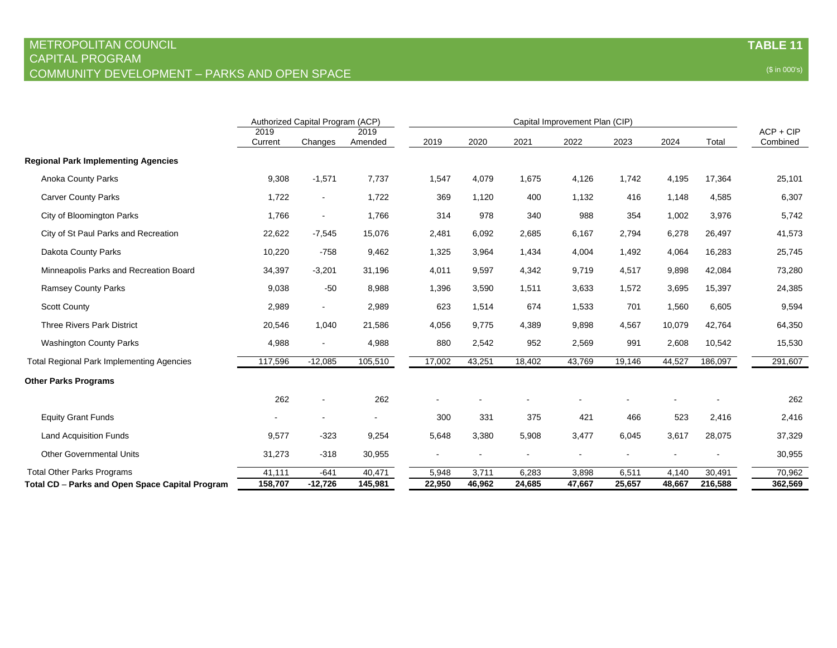|                                                  | Authorized Capital Program (ACP) |                          |                 |        | Capital Improvement Plan (CIP) |        |        |        |        |         |                         |  |
|--------------------------------------------------|----------------------------------|--------------------------|-----------------|--------|--------------------------------|--------|--------|--------|--------|---------|-------------------------|--|
|                                                  | 2019<br>Current                  | Changes                  | 2019<br>Amended | 2019   | 2020                           | 2021   | 2022   | 2023   | 2024   | Total   | $ACP + CIP$<br>Combined |  |
| <b>Regional Park Implementing Agencies</b>       |                                  |                          |                 |        |                                |        |        |        |        |         |                         |  |
| <b>Anoka County Parks</b>                        | 9,308                            | $-1,571$                 | 7,737           | 1,547  | 4,079                          | 1,675  | 4,126  | 1,742  | 4,195  | 17,364  | 25,101                  |  |
| <b>Carver County Parks</b>                       | 1,722                            | $\overline{\phantom{a}}$ | 1,722           | 369    | 1,120                          | 400    | 1,132  | 416    | 1,148  | 4,585   | 6,307                   |  |
| City of Bloomington Parks                        | 1,766                            | $\blacksquare$           | 1,766           | 314    | 978                            | 340    | 988    | 354    | 1,002  | 3,976   | 5,742                   |  |
| City of St Paul Parks and Recreation             | 22,622                           | $-7,545$                 | 15,076          | 2,481  | 6,092                          | 2,685  | 6,167  | 2,794  | 6,278  | 26,497  | 41,573                  |  |
| Dakota County Parks                              | 10,220                           | $-758$                   | 9,462           | 1,325  | 3,964                          | 1,434  | 4,004  | 1,492  | 4,064  | 16,283  | 25,745                  |  |
| Minneapolis Parks and Recreation Board           | 34,397                           | $-3,201$                 | 31,196          | 4,011  | 9,597                          | 4,342  | 9,719  | 4,517  | 9,898  | 42,084  | 73,280                  |  |
| <b>Ramsey County Parks</b>                       | 9,038                            | $-50$                    | 8,988           | 1,396  | 3,590                          | 1,511  | 3,633  | 1,572  | 3,695  | 15,397  | 24,385                  |  |
| <b>Scott County</b>                              | 2,989                            |                          | 2,989           | 623    | 1,514                          | 674    | 1,533  | 701    | 1,560  | 6,605   | 9,594                   |  |
| <b>Three Rivers Park District</b>                | 20,546                           | 1,040                    | 21,586          | 4,056  | 9,775                          | 4,389  | 9,898  | 4,567  | 10,079 | 42,764  | 64,350                  |  |
| <b>Washington County Parks</b>                   | 4,988                            | $\overline{\phantom{a}}$ | 4,988           | 880    | 2,542                          | 952    | 2,569  | 991    | 2,608  | 10,542  | 15,530                  |  |
| <b>Total Regional Park Implementing Agencies</b> | 117,596                          | $-12,085$                | 105,510         | 17,002 | 43,251                         | 18,402 | 43,769 | 19,146 | 44,527 | 186,097 | 291,607                 |  |
| <b>Other Parks Programs</b>                      |                                  |                          |                 |        |                                |        |        |        |        |         |                         |  |
|                                                  | 262                              |                          | 262             |        |                                |        |        |        |        |         | 262                     |  |
| <b>Equity Grant Funds</b>                        |                                  |                          |                 | 300    | 331                            | 375    | 421    | 466    | 523    | 2,416   | 2,416                   |  |
| <b>Land Acquisition Funds</b>                    | 9,577                            | $-323$                   | 9,254           | 5,648  | 3,380                          | 5,908  | 3,477  | 6,045  | 3,617  | 28,075  | 37,329                  |  |
| <b>Other Governmental Units</b>                  | 31,273                           | $-318$                   | 30,955          |        |                                |        |        |        |        |         | 30,955                  |  |
| <b>Total Other Parks Programs</b>                | 41,111                           | $-641$                   | 40,471          | 5,948  | 3,711                          | 6,283  | 3,898  | 6,511  | 4,140  | 30,491  | 70,962                  |  |
| Total CD - Parks and Open Space Capital Program  | 158,707                          | $-12,726$                | 145,981         | 22,950 | 46,962                         | 24,685 | 47,667 | 25,657 | 48,667 | 216,588 | 362,569                 |  |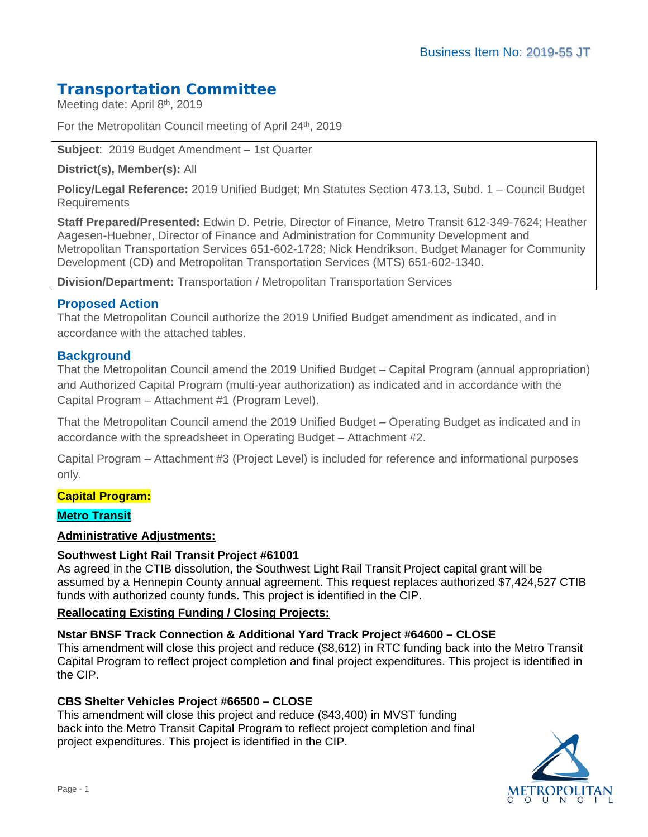# **Transportation Committee**

Meeting date: April 8<sup>th</sup>, 2019

For the Metropolitan Council meeting of April 24<sup>th</sup>, 2019

**Subject**: 2019 Budget Amendment – 1st Quarter

**District(s), Member(s):** All

**Policy/Legal Reference:** 2019 Unified Budget; Mn Statutes Section 473.13, Subd. 1 – Council Budget Requirements

**Staff Prepared/Presented:** Edwin D. Petrie, Director of Finance, Metro Transit 612-349-7624; Heather Aagesen-Huebner, Director of Finance and Administration for Community Development and Metropolitan Transportation Services 651-602-1728; Nick Hendrikson, Budget Manager for Community Development (CD) and Metropolitan Transportation Services (MTS) 651-602-1340.

**Division/Department:** Transportation / Metropolitan Transportation Services

## **Proposed Action**

That the Metropolitan Council authorize the 2019 Unified Budget amendment as indicated, and in accordance with the attached tables.

## **Background**

That the Metropolitan Council amend the 2019 Unified Budget – Capital Program (annual appropriation) and Authorized Capital Program (multi-year authorization) as indicated and in accordance with the Capital Program – Attachment #1 (Program Level).

That the Metropolitan Council amend the 2019 Unified Budget – Operating Budget as indicated and in accordance with the spreadsheet in Operating Budget – Attachment #2.

Capital Program – Attachment #3 (Project Level) is included for reference and informational purposes only.

#### **Capital Program:**

#### **Metro Transit**

#### **Administrative Adjustments:**

#### **Southwest Light Rail Transit Project #61001**

As agreed in the CTIB dissolution, the Southwest Light Rail Transit Project capital grant will be assumed by a Hennepin County annual agreement. This request replaces authorized \$7,424,527 CTIB funds with authorized county funds. This project is identified in the CIP.

#### **Reallocating Existing Funding / Closing Projects:**

#### **Nstar BNSF Track Connection & Additional Yard Track Project #64600 – CLOSE**

This amendment will close this project and reduce (\$8,612) in RTC funding back into the Metro Transit Capital Program to reflect project completion and final project expenditures. This project is identified in the CIP.

#### **CBS Shelter Vehicles Project #66500 – CLOSE**

This amendment will close this project and reduce (\$43,400) in MVST funding back into the Metro Transit Capital Program to reflect project completion and final project expenditures. This project is identified in the CIP.

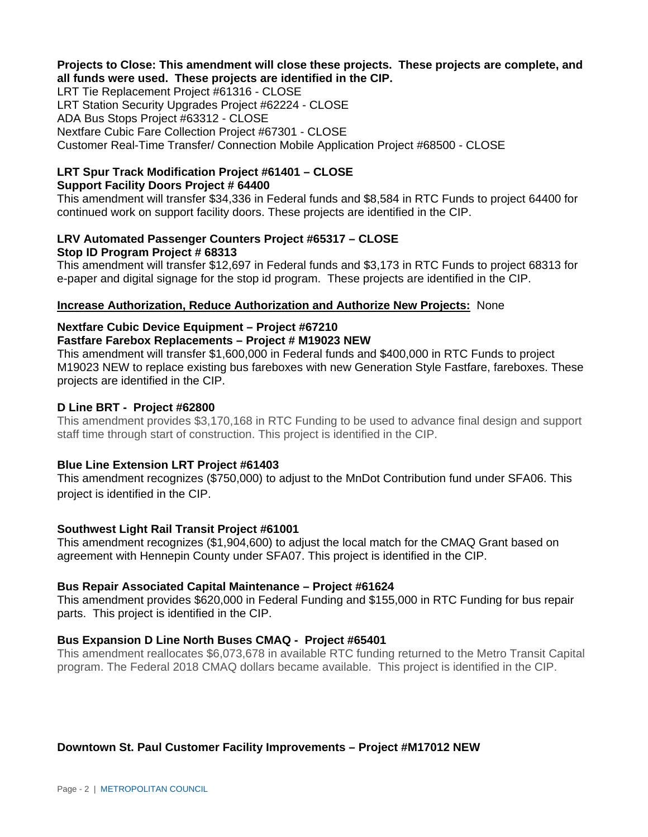#### **Projects to Close: This amendment will close these projects. These projects are complete, and all funds were used. These projects are identified in the CIP.**

LRT Tie Replacement Project #61316 - CLOSE LRT Station Security Upgrades Project #62224 - CLOSE ADA Bus Stops Project #63312 - CLOSE Nextfare Cubic Fare Collection Project #67301 - CLOSE Customer Real-Time Transfer/ Connection Mobile Application Project #68500 - CLOSE

#### **LRT Spur Track Modification Project #61401 – CLOSE Support Facility Doors Project # 64400**

This amendment will transfer \$34,336 in Federal funds and \$8,584 in RTC Funds to project 64400 for continued work on support facility doors. These projects are identified in the CIP.

#### **LRV Automated Passenger Counters Project #65317 – CLOSE Stop ID Program Project # 68313**

This amendment will transfer \$12,697 in Federal funds and \$3,173 in RTC Funds to project 68313 for e-paper and digital signage for the stop id program. These projects are identified in the CIP.

## **Increase Authorization, Reduce Authorization and Authorize New Projects:** None

#### **Nextfare Cubic Device Equipment – Project #67210 Fastfare Farebox Replacements – Project # M19023 NEW**

This amendment will transfer \$1,600,000 in Federal funds and \$400,000 in RTC Funds to project M19023 NEW to replace existing bus fareboxes with new Generation Style Fastfare, fareboxes. These projects are identified in the CIP.

## **D Line BRT - Project #62800**

This amendment provides \$3,170,168 in RTC Funding to be used to advance final design and support staff time through start of construction. This project is identified in the CIP.

## **Blue Line Extension LRT Project #61403**

This amendment recognizes (\$750,000) to adjust to the MnDot Contribution fund under SFA06. This project is identified in the CIP.

## **Southwest Light Rail Transit Project #61001**

This amendment recognizes (\$1,904,600) to adjust the local match for the CMAQ Grant based on agreement with Hennepin County under SFA07. This project is identified in the CIP.

## **Bus Repair Associated Capital Maintenance – Project #61624**

This amendment provides \$620,000 in Federal Funding and \$155,000 in RTC Funding for bus repair parts. This project is identified in the CIP.

## **Bus Expansion D Line North Buses CMAQ - Project #65401**

This amendment reallocates \$6,073,678 in available RTC funding returned to the Metro Transit Capital program. The Federal 2018 CMAQ dollars became available. This project is identified in the CIP.

## **Downtown St. Paul Customer Facility Improvements – Project #M17012 NEW**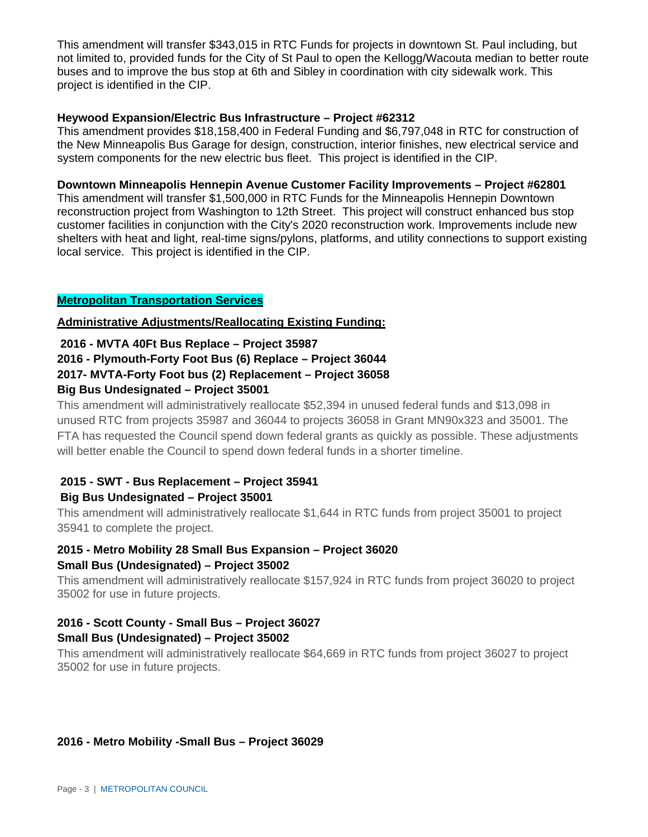This amendment will transfer \$343,015 in RTC Funds for projects in downtown St. Paul including, but not limited to, provided funds for the City of St Paul to open the Kellogg/Wacouta median to better route buses and to improve the bus stop at 6th and Sibley in coordination with city sidewalk work. This project is identified in the CIP.

#### **Heywood Expansion/Electric Bus Infrastructure – Project #62312**

This amendment provides \$18,158,400 in Federal Funding and \$6,797,048 in RTC for construction of the New Minneapolis Bus Garage for design, construction, interior finishes, new electrical service and system components for the new electric bus fleet. This project is identified in the CIP.

#### **Downtown Minneapolis Hennepin Avenue Customer Facility Improvements – Project #62801**

This amendment will transfer \$1,500,000 in RTC Funds for the Minneapolis Hennepin Downtown reconstruction project from Washington to 12th Street. This project will construct enhanced bus stop customer facilities in conjunction with the City's 2020 reconstruction work. Improvements include new shelters with heat and light, real-time signs/pylons, platforms, and utility connections to support existing local service. This project is identified in the CIP.

#### **Metropolitan Transportation Services**

#### **Administrative Adjustments/Reallocating Existing Funding:**

#### **2016 - MVTA 40Ft Bus Replace – Project 35987**

#### **2016 - Plymouth-Forty Foot Bus (6) Replace – Project 36044**

## **2017- MVTA-Forty Foot bus (2) Replacement – Project 36058**

#### **Big Bus Undesignated – Project 35001**

This amendment will administratively reallocate \$52,394 in unused federal funds and \$13,098 in unused RTC from projects 35987 and 36044 to projects 36058 in Grant MN90x323 and 35001. The FTA has requested the Council spend down federal grants as quickly as possible. These adjustments will better enable the Council to spend down federal funds in a shorter timeline.

#### **2015 - SWT - Bus Replacement – Project 35941**

#### **Big Bus Undesignated – Project 35001**

This amendment will administratively reallocate \$1,644 in RTC funds from project 35001 to project 35941 to complete the project.

#### **2015 - Metro Mobility 28 Small Bus Expansion – Project 36020 Small Bus (Undesignated) – Project 35002**

This amendment will administratively reallocate \$157,924 in RTC funds from project 36020 to project 35002 for use in future projects.

#### **2016 - Scott County - Small Bus – Project 36027 Small Bus (Undesignated) – Project 35002**

This amendment will administratively reallocate \$64,669 in RTC funds from project 36027 to project 35002 for use in future projects.

#### **2016 - Metro Mobility -Small Bus – Project 36029**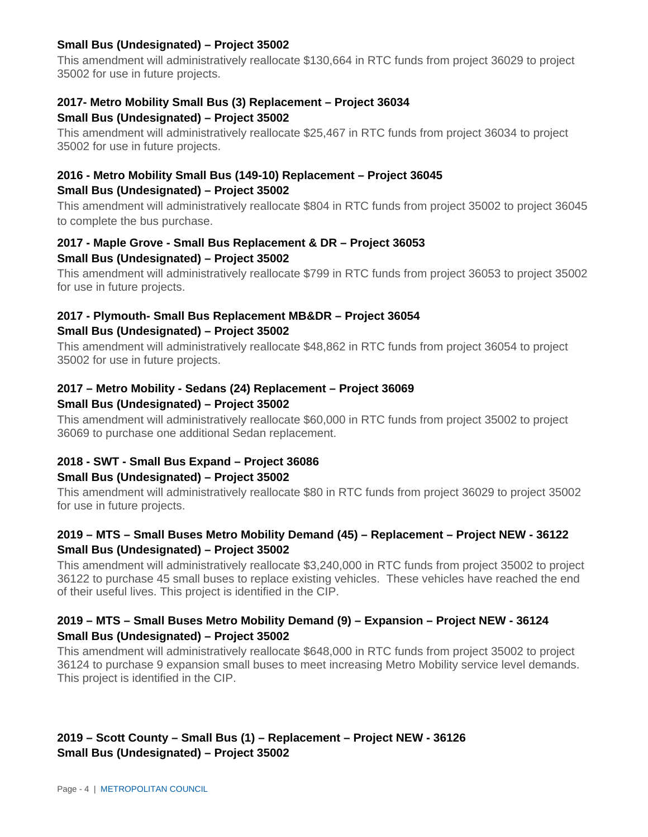### **Small Bus (Undesignated) – Project 35002**

This amendment will administratively reallocate \$130,664 in RTC funds from project 36029 to project 35002 for use in future projects.

# **2017- Metro Mobility Small Bus (3) Replacement – Project 36034**

#### **Small Bus (Undesignated) – Project 35002**

This amendment will administratively reallocate \$25,467 in RTC funds from project 36034 to project 35002 for use in future projects.

## **2016 - Metro Mobility Small Bus (149-10) Replacement – Project 36045 Small Bus (Undesignated) – Project 35002**

This amendment will administratively reallocate \$804 in RTC funds from project 35002 to project 36045 to complete the bus purchase.

## **2017 - Maple Grove - Small Bus Replacement & DR – Project 36053 Small Bus (Undesignated) – Project 35002**

This amendment will administratively reallocate \$799 in RTC funds from project 36053 to project 35002 for use in future projects.

## **2017 - Plymouth- Small Bus Replacement MB&DR – Project 36054 Small Bus (Undesignated) – Project 35002**

This amendment will administratively reallocate \$48,862 in RTC funds from project 36054 to project 35002 for use in future projects.

## **2017 – Metro Mobility - Sedans (24) Replacement – Project 36069 Small Bus (Undesignated) – Project 35002**

This amendment will administratively reallocate \$60,000 in RTC funds from project 35002 to project 36069 to purchase one additional Sedan replacement.

## **2018 - SWT - Small Bus Expand – Project 36086**

## **Small Bus (Undesignated) – Project 35002**

This amendment will administratively reallocate \$80 in RTC funds from project 36029 to project 35002 for use in future projects.

## **2019 – MTS – Small Buses Metro Mobility Demand (45) – Replacement – Project NEW - 36122 Small Bus (Undesignated) – Project 35002**

This amendment will administratively reallocate \$3,240,000 in RTC funds from project 35002 to project 36122 to purchase 45 small buses to replace existing vehicles. These vehicles have reached the end of their useful lives. This project is identified in the CIP.

## **2019 – MTS – Small Buses Metro Mobility Demand (9) – Expansion – Project NEW - 36124 Small Bus (Undesignated) – Project 35002**

This amendment will administratively reallocate \$648,000 in RTC funds from project 35002 to project 36124 to purchase 9 expansion small buses to meet increasing Metro Mobility service level demands. This project is identified in the CIP.

## **2019 – Scott County – Small Bus (1) – Replacement – Project NEW - 36126 Small Bus (Undesignated) – Project 35002**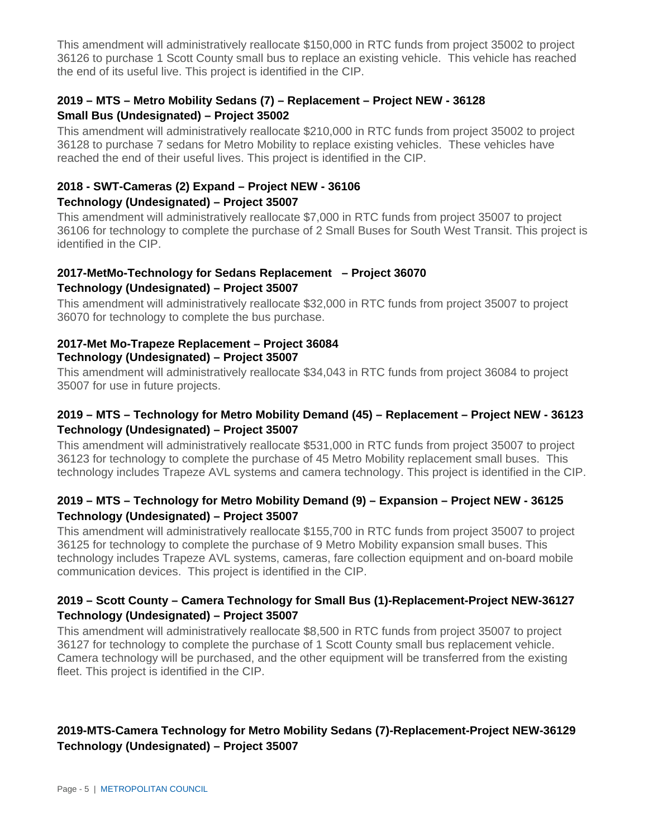This amendment will administratively reallocate \$150,000 in RTC funds from project 35002 to project 36126 to purchase 1 Scott County small bus to replace an existing vehicle. This vehicle has reached the end of its useful live. This project is identified in the CIP.

## **2019 – MTS – Metro Mobility Sedans (7) – Replacement – Project NEW - 36128 Small Bus (Undesignated) – Project 35002**

This amendment will administratively reallocate \$210,000 in RTC funds from project 35002 to project 36128 to purchase 7 sedans for Metro Mobility to replace existing vehicles. These vehicles have reached the end of their useful lives. This project is identified in the CIP.

## **2018 - SWT-Cameras (2) Expand – Project NEW - 36106 Technology (Undesignated) – Project 35007**

This amendment will administratively reallocate \$7,000 in RTC funds from project 35007 to project 36106 for technology to complete the purchase of 2 Small Buses for South West Transit. This project is identified in the CIP.

#### **2017-MetMo-Technology for Sedans Replacement – Project 36070 Technology (Undesignated) – Project 35007**

This amendment will administratively reallocate \$32,000 in RTC funds from project 35007 to project 36070 for technology to complete the bus purchase.

#### **2017-Met Mo-Trapeze Replacement – Project 36084 Technology (Undesignated) – Project 35007**

This amendment will administratively reallocate \$34,043 in RTC funds from project 36084 to project 35007 for use in future projects.

## **2019 – MTS – Technology for Metro Mobility Demand (45) – Replacement – Project NEW - 36123 Technology (Undesignated) – Project 35007**

This amendment will administratively reallocate \$531,000 in RTC funds from project 35007 to project 36123 for technology to complete the purchase of 45 Metro Mobility replacement small buses. This technology includes Trapeze AVL systems and camera technology. This project is identified in the CIP.

## **2019 – MTS – Technology for Metro Mobility Demand (9) – Expansion – Project NEW - 36125 Technology (Undesignated) – Project 35007**

This amendment will administratively reallocate \$155,700 in RTC funds from project 35007 to project 36125 for technology to complete the purchase of 9 Metro Mobility expansion small buses. This technology includes Trapeze AVL systems, cameras, fare collection equipment and on-board mobile communication devices. This project is identified in the CIP.

## **2019 – Scott County – Camera Technology for Small Bus (1)-Replacement-Project NEW-36127 Technology (Undesignated) – Project 35007**

This amendment will administratively reallocate \$8,500 in RTC funds from project 35007 to project 36127 for technology to complete the purchase of 1 Scott County small bus replacement vehicle. Camera technology will be purchased, and the other equipment will be transferred from the existing fleet. This project is identified in the CIP.

## **2019-MTS-Camera Technology for Metro Mobility Sedans (7)-Replacement-Project NEW-36129 Technology (Undesignated) – Project 35007**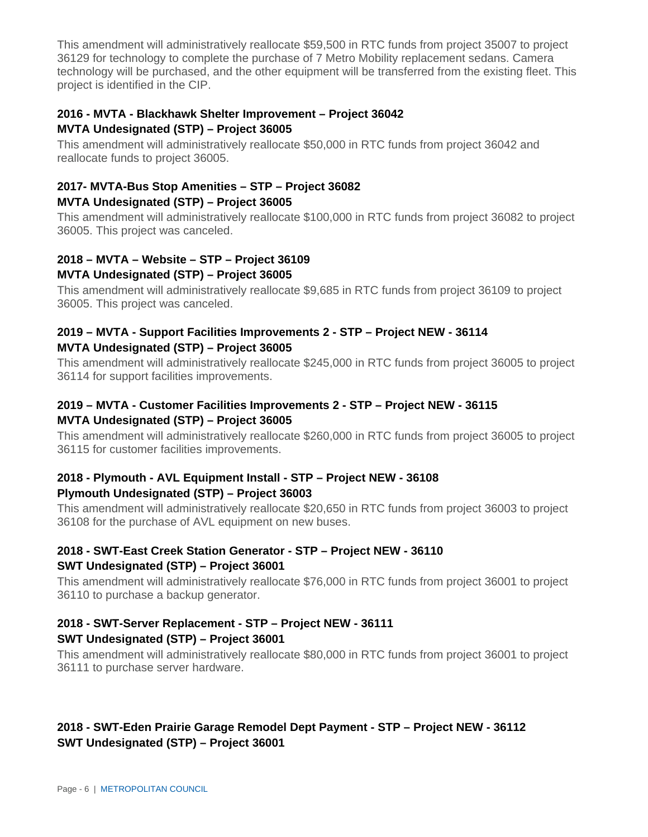This amendment will administratively reallocate \$59,500 in RTC funds from project 35007 to project 36129 for technology to complete the purchase of 7 Metro Mobility replacement sedans. Camera technology will be purchased, and the other equipment will be transferred from the existing fleet. This project is identified in the CIP.

## **2016 - MVTA - Blackhawk Shelter Improvement – Project 36042 MVTA Undesignated (STP) – Project 36005**

This amendment will administratively reallocate \$50,000 in RTC funds from project 36042 and reallocate funds to project 36005.

## **2017- MVTA-Bus Stop Amenities – STP – Project 36082 MVTA Undesignated (STP) – Project 36005**

This amendment will administratively reallocate \$100,000 in RTC funds from project 36082 to project 36005. This project was canceled.

# **2018 – MVTA – Website – STP – Project 36109**

## **MVTA Undesignated (STP) – Project 36005**

This amendment will administratively reallocate \$9,685 in RTC funds from project 36109 to project 36005. This project was canceled.

## **2019 – MVTA - Support Facilities Improvements 2 - STP – Project NEW - 36114 MVTA Undesignated (STP) – Project 36005**

This amendment will administratively reallocate \$245,000 in RTC funds from project 36005 to project 36114 for support facilities improvements.

## **2019 – MVTA - Customer Facilities Improvements 2 - STP – Project NEW - 36115 MVTA Undesignated (STP) – Project 36005**

This amendment will administratively reallocate \$260,000 in RTC funds from project 36005 to project 36115 for customer facilities improvements.

## **2018 - Plymouth - AVL Equipment Install - STP – Project NEW - 36108 Plymouth Undesignated (STP) – Project 36003**

This amendment will administratively reallocate \$20,650 in RTC funds from project 36003 to project 36108 for the purchase of AVL equipment on new buses.

## **2018 - SWT-East Creek Station Generator - STP – Project NEW - 36110 SWT Undesignated (STP) – Project 36001**

This amendment will administratively reallocate \$76,000 in RTC funds from project 36001 to project 36110 to purchase a backup generator.

## **2018 - SWT-Server Replacement - STP – Project NEW - 36111 SWT Undesignated (STP) – Project 36001**

This amendment will administratively reallocate \$80,000 in RTC funds from project 36001 to project 36111 to purchase server hardware.

## **2018 - SWT-Eden Prairie Garage Remodel Dept Payment - STP – Project NEW - 36112 SWT Undesignated (STP) – Project 36001**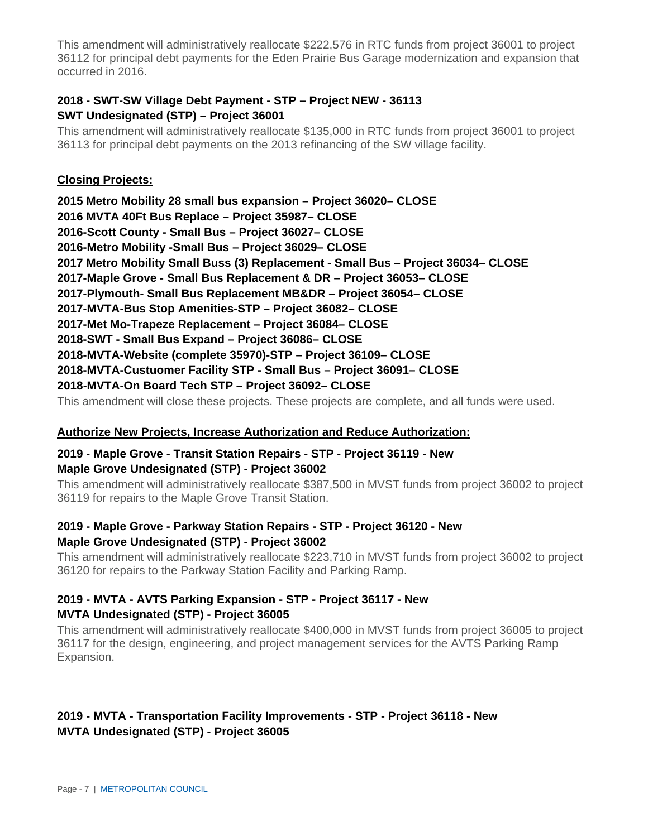This amendment will administratively reallocate \$222,576 in RTC funds from project 36001 to project 36112 for principal debt payments for the Eden Prairie Bus Garage modernization and expansion that occurred in 2016.

## **2018 - SWT-SW Village Debt Payment - STP – Project NEW - 36113 SWT Undesignated (STP) – Project 36001**

This amendment will administratively reallocate \$135,000 in RTC funds from project 36001 to project 36113 for principal debt payments on the 2013 refinancing of the SW village facility.

#### **Closing Projects:**

**2015 Metro Mobility 28 small bus expansion – Project 36020– CLOSE 2016 MVTA 40Ft Bus Replace – Project 35987– CLOSE 2016-Scott County - Small Bus – Project 36027– CLOSE 2016-Metro Mobility -Small Bus – Project 36029– CLOSE 2017 Metro Mobility Small Buss (3) Replacement - Small Bus – Project 36034– CLOSE 2017-Maple Grove - Small Bus Replacement & DR – Project 36053– CLOSE 2017-Plymouth- Small Bus Replacement MB&DR – Project 36054– CLOSE 2017-MVTA-Bus Stop Amenities-STP – Project 36082– CLOSE 2017-Met Mo-Trapeze Replacement – Project 36084– CLOSE 2018-SWT - Small Bus Expand – Project 36086– CLOSE 2018-MVTA-Website (complete 35970)-STP – Project 36109– CLOSE 2018-MVTA-Custuomer Facility STP - Small Bus – Project 36091– CLOSE 2018-MVTA-On Board Tech STP – Project 36092– CLOSE** This amendment will close these projects. These projects are complete, and all funds were used.

#### **Authorize New Projects, Increase Authorization and Reduce Authorization:**

## **2019 - Maple Grove - Transit Station Repairs - STP - Project 36119 - New Maple Grove Undesignated (STP) - Project 36002**

This amendment will administratively reallocate \$387,500 in MVST funds from project 36002 to project 36119 for repairs to the Maple Grove Transit Station.

## **2019 - Maple Grove - Parkway Station Repairs - STP - Project 36120 - New Maple Grove Undesignated (STP) - Project 36002**

This amendment will administratively reallocate \$223,710 in MVST funds from project 36002 to project 36120 for repairs to the Parkway Station Facility and Parking Ramp.

## **2019 - MVTA - AVTS Parking Expansion - STP - Project 36117 - New MVTA Undesignated (STP) - Project 36005**

This amendment will administratively reallocate \$400,000 in MVST funds from project 36005 to project 36117 for the design, engineering, and project management services for the AVTS Parking Ramp Expansion.

## **2019 - MVTA - Transportation Facility Improvements - STP - Project 36118 - New MVTA Undesignated (STP) - Project 36005**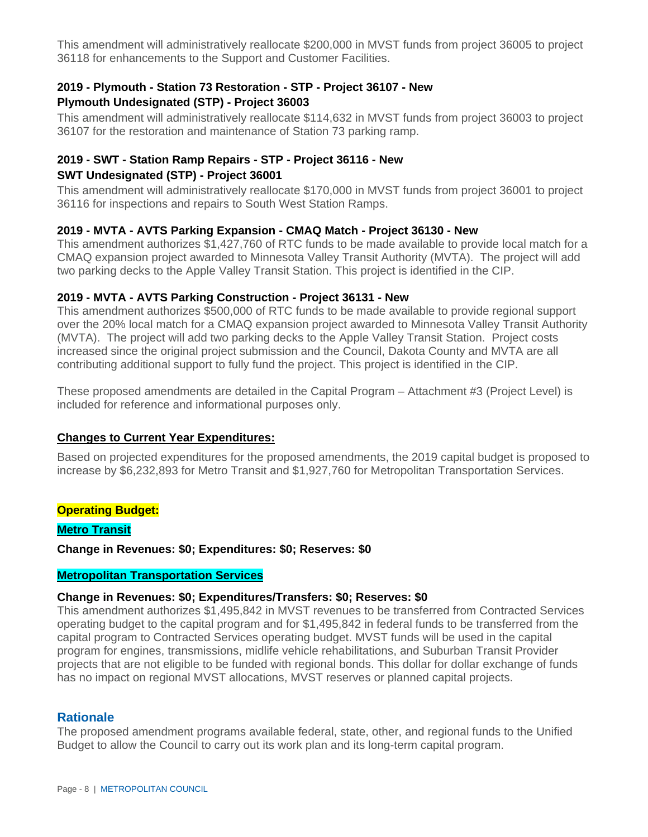This amendment will administratively reallocate \$200,000 in MVST funds from project 36005 to project 36118 for enhancements to the Support and Customer Facilities.

#### **2019 - Plymouth - Station 73 Restoration - STP - Project 36107 - New Plymouth Undesignated (STP) - Project 36003**

This amendment will administratively reallocate \$114,632 in MVST funds from project 36003 to project 36107 for the restoration and maintenance of Station 73 parking ramp.

## **2019 - SWT - Station Ramp Repairs - STP - Project 36116 - New SWT Undesignated (STP) - Project 36001**

This amendment will administratively reallocate \$170,000 in MVST funds from project 36001 to project 36116 for inspections and repairs to South West Station Ramps.

#### **2019 - MVTA - AVTS Parking Expansion - CMAQ Match - Project 36130 - New**

This amendment authorizes \$1,427,760 of RTC funds to be made available to provide local match for a CMAQ expansion project awarded to Minnesota Valley Transit Authority (MVTA). The project will add two parking decks to the Apple Valley Transit Station. This project is identified in the CIP.

## **2019 - MVTA - AVTS Parking Construction - Project 36131 - New**

This amendment authorizes \$500,000 of RTC funds to be made available to provide regional support over the 20% local match for a CMAQ expansion project awarded to Minnesota Valley Transit Authority (MVTA). The project will add two parking decks to the Apple Valley Transit Station. Project costs increased since the original project submission and the Council, Dakota County and MVTA are all contributing additional support to fully fund the project. This project is identified in the CIP.

These proposed amendments are detailed in the Capital Program – Attachment #3 (Project Level) is included for reference and informational purposes only.

#### **Changes to Current Year Expenditures:**

Based on projected expenditures for the proposed amendments, the 2019 capital budget is proposed to increase by \$6,232,893 for Metro Transit and \$1,927,760 for Metropolitan Transportation Services.

#### **Operating Budget:**

#### **Metro Transit**

**Change in Revenues: \$0; Expenditures: \$0; Reserves: \$0**

## **Metropolitan Transportation Services**

#### **Change in Revenues: \$0; Expenditures/Transfers: \$0; Reserves: \$0**

This amendment authorizes \$1,495,842 in MVST revenues to be transferred from Contracted Services operating budget to the capital program and for \$1,495,842 in federal funds to be transferred from the capital program to Contracted Services operating budget. MVST funds will be used in the capital program for engines, transmissions, midlife vehicle rehabilitations, and Suburban Transit Provider projects that are not eligible to be funded with regional bonds. This dollar for dollar exchange of funds has no impact on regional MVST allocations, MVST reserves or planned capital projects.

#### **Rationale**

The proposed amendment programs available federal, state, other, and regional funds to the Unified Budget to allow the Council to carry out its work plan and its long-term capital program.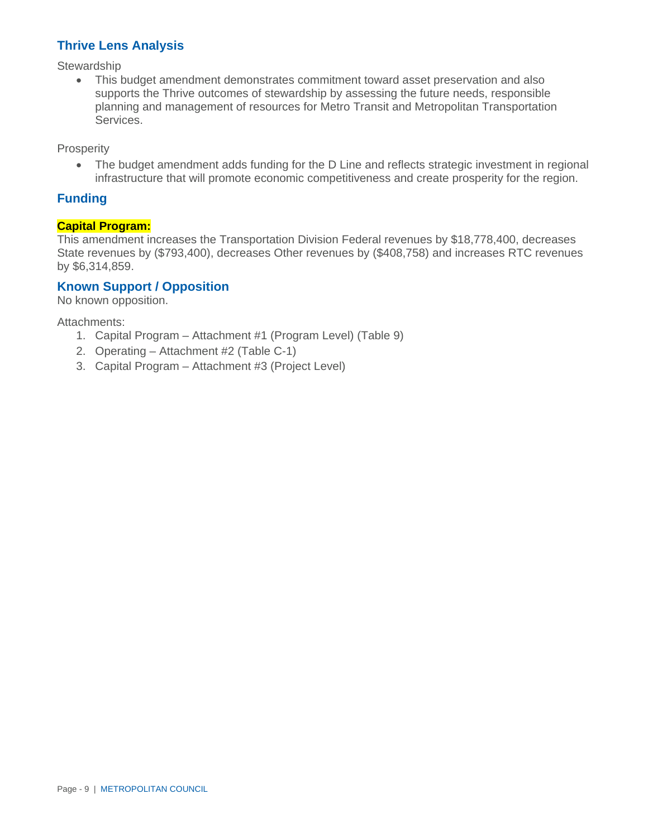## **Thrive Lens Analysis**

**Stewardship** 

• This budget amendment demonstrates commitment toward asset preservation and also supports the Thrive outcomes of stewardship by assessing the future needs, responsible planning and management of resources for Metro Transit and Metropolitan Transportation Services.

**Prosperity** 

• The budget amendment adds funding for the D Line and reflects strategic investment in regional infrastructure that will promote economic competitiveness and create prosperity for the region.

## **Funding**

#### **Capital Program:**

This amendment increases the Transportation Division Federal revenues by \$18,778,400, decreases State revenues by (\$793,400), decreases Other revenues by (\$408,758) and increases RTC revenues by \$6,314,859.

## **Known Support / Opposition**

No known opposition.

Attachments:

- 1. Capital Program Attachment #1 (Program Level) (Table 9)
- 2. Operating Attachment #2 (Table C-1)
- 3. Capital Program Attachment #3 (Project Level)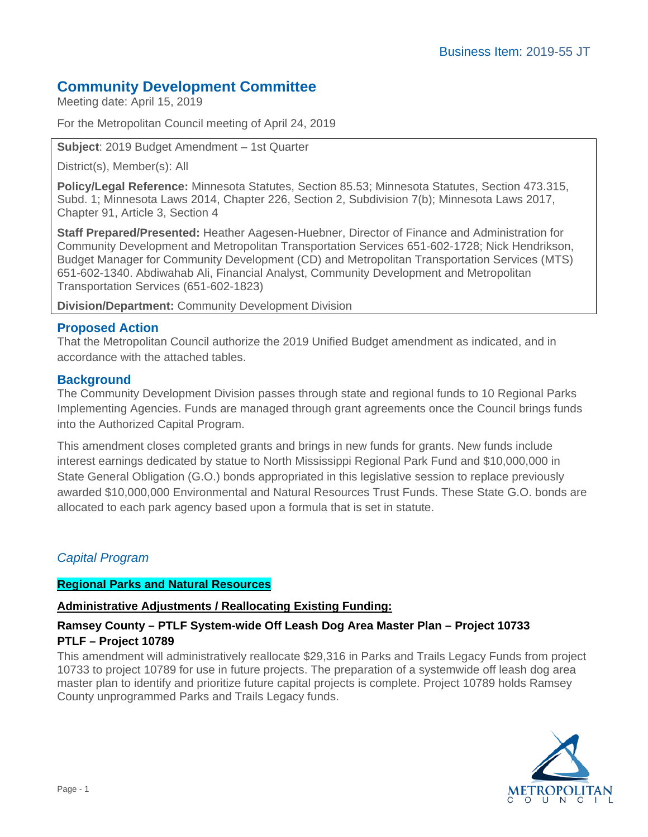# **Community Development Committee**

Meeting date: April 15, 2019

For the Metropolitan Council meeting of April 24, 2019

**Subject**: 2019 Budget Amendment – 1st Quarter

District(s), Member(s): All

**Policy/Legal Reference:** Minnesota Statutes, Section 85.53; Minnesota Statutes, Section 473.315, Subd. 1; Minnesota Laws 2014, Chapter 226, Section 2, Subdivision 7(b); Minnesota Laws 2017, Chapter 91, Article 3, Section 4

**Staff Prepared/Presented:** Heather Aagesen-Huebner, Director of Finance and Administration for Community Development and Metropolitan Transportation Services 651-602-1728; Nick Hendrikson, Budget Manager for Community Development (CD) and Metropolitan Transportation Services (MTS) 651-602-1340. Abdiwahab Ali, Financial Analyst, Community Development and Metropolitan Transportation Services (651-602-1823)

**Division/Department:** Community Development Division

## **Proposed Action**

That the Metropolitan Council authorize the 2019 Unified Budget amendment as indicated, and in accordance with the attached tables.

## **Background**

The Community Development Division passes through state and regional funds to 10 Regional Parks Implementing Agencies. Funds are managed through grant agreements once the Council brings funds into the Authorized Capital Program.

This amendment closes completed grants and brings in new funds for grants. New funds include interest earnings dedicated by statue to North Mississippi Regional Park Fund and \$10,000,000 in State General Obligation (G.O.) bonds appropriated in this legislative session to replace previously awarded \$10,000,000 Environmental and Natural Resources Trust Funds. These State G.O. bonds are allocated to each park agency based upon a formula that is set in statute.

## *Capital Program*

## **Regional Parks and Natural Resources**

## **Administrative Adjustments / Reallocating Existing Funding:**

## **Ramsey County – PTLF System-wide Off Leash Dog Area Master Plan – Project 10733 PTLF – Project 10789**

This amendment will administratively reallocate \$29,316 in Parks and Trails Legacy Funds from project 10733 to project 10789 for use in future projects. The preparation of a systemwide off leash dog area master plan to identify and prioritize future capital projects is complete. Project 10789 holds Ramsey County unprogrammed Parks and Trails Legacy funds.

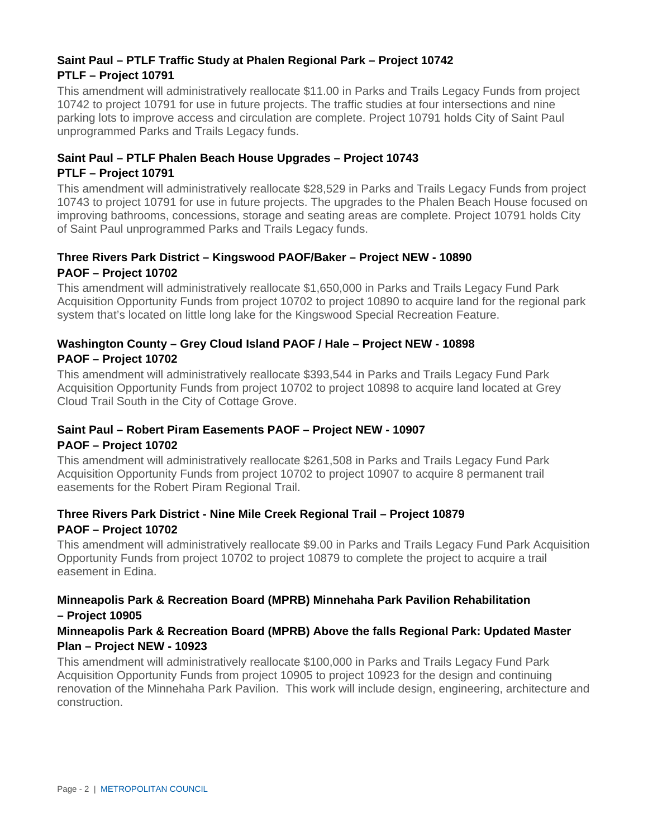## **Saint Paul – PTLF Traffic Study at Phalen Regional Park – Project 10742 PTLF – Project 10791**

This amendment will administratively reallocate \$11.00 in Parks and Trails Legacy Funds from project 10742 to project 10791 for use in future projects. The traffic studies at four intersections and nine parking lots to improve access and circulation are complete. Project 10791 holds City of Saint Paul unprogrammed Parks and Trails Legacy funds.

## **Saint Paul – PTLF Phalen Beach House Upgrades – Project 10743 PTLF – Project 10791**

This amendment will administratively reallocate \$28,529 in Parks and Trails Legacy Funds from project 10743 to project 10791 for use in future projects. The upgrades to the Phalen Beach House focused on improving bathrooms, concessions, storage and seating areas are complete. Project 10791 holds City of Saint Paul unprogrammed Parks and Trails Legacy funds.

## **Three Rivers Park District – Kingswood PAOF/Baker – Project NEW - 10890 PAOF – Project 10702**

This amendment will administratively reallocate \$1,650,000 in Parks and Trails Legacy Fund Park Acquisition Opportunity Funds from project 10702 to project 10890 to acquire land for the regional park system that's located on little long lake for the Kingswood Special Recreation Feature.

## **Washington County – Grey Cloud Island PAOF / Hale – Project NEW - 10898 PAOF – Project 10702**

This amendment will administratively reallocate \$393,544 in Parks and Trails Legacy Fund Park Acquisition Opportunity Funds from project 10702 to project 10898 to acquire land located at Grey Cloud Trail South in the City of Cottage Grove.

## **Saint Paul – Robert Piram Easements PAOF – Project NEW - 10907 PAOF – Project 10702**

This amendment will administratively reallocate \$261,508 in Parks and Trails Legacy Fund Park Acquisition Opportunity Funds from project 10702 to project 10907 to acquire 8 permanent trail easements for the Robert Piram Regional Trail.

## **Three Rivers Park District - Nine Mile Creek Regional Trail – Project 10879 PAOF – Project 10702**

This amendment will administratively reallocate \$9.00 in Parks and Trails Legacy Fund Park Acquisition Opportunity Funds from project 10702 to project 10879 to complete the project to acquire a trail easement in Edina.

## **Minneapolis Park & Recreation Board (MPRB) Minnehaha Park Pavilion Rehabilitation – Project 10905**

## **Minneapolis Park & Recreation Board (MPRB) Above the falls Regional Park: Updated Master Plan – Project NEW - 10923**

This amendment will administratively reallocate \$100,000 in Parks and Trails Legacy Fund Park Acquisition Opportunity Funds from project 10905 to project 10923 for the design and continuing renovation of the Minnehaha Park Pavilion. This work will include design, engineering, architecture and construction.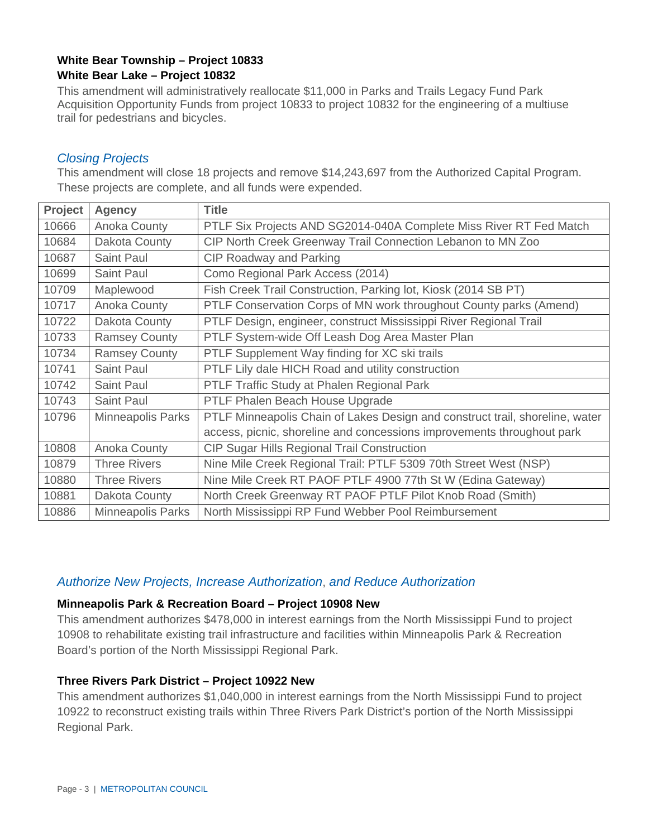# **White Bear Township – Project 10833**

## **White Bear Lake – Project 10832**

This amendment will administratively reallocate \$11,000 in Parks and Trails Legacy Fund Park Acquisition Opportunity Funds from project 10833 to project 10832 for the engineering of a multiuse trail for pedestrians and bicycles.

#### *Closing Projects*

This amendment will close 18 projects and remove \$14,243,697 from the Authorized Capital Program. These projects are complete, and all funds were expended.

| Project | <b>Agency</b>            | <b>Title</b>                                                                 |
|---------|--------------------------|------------------------------------------------------------------------------|
| 10666   | Anoka County             | PTLF Six Projects AND SG2014-040A Complete Miss River RT Fed Match           |
| 10684   | Dakota County            | CIP North Creek Greenway Trail Connection Lebanon to MN Zoo                  |
| 10687   | Saint Paul               | <b>CIP Roadway and Parking</b>                                               |
| 10699   | Saint Paul               | Como Regional Park Access (2014)                                             |
| 10709   | Maplewood                | Fish Creek Trail Construction, Parking lot, Kiosk (2014 SB PT)               |
| 10717   | Anoka County             | PTLF Conservation Corps of MN work throughout County parks (Amend)           |
| 10722   | Dakota County            | PTLF Design, engineer, construct Mississippi River Regional Trail            |
| 10733   | <b>Ramsey County</b>     | PTLF System-wide Off Leash Dog Area Master Plan                              |
| 10734   | <b>Ramsey County</b>     | PTLF Supplement Way finding for XC ski trails                                |
| 10741   | Saint Paul               | PTLF Lily dale HICH Road and utility construction                            |
| 10742   | Saint Paul               | PTLF Traffic Study at Phalen Regional Park                                   |
| 10743   | Saint Paul               | PTLF Phalen Beach House Upgrade                                              |
| 10796   | <b>Minneapolis Parks</b> | PTLF Minneapolis Chain of Lakes Design and construct trail, shoreline, water |
|         |                          | access, picnic, shoreline and concessions improvements throughout park       |
| 10808   | Anoka County             | CIP Sugar Hills Regional Trail Construction                                  |
| 10879   | <b>Three Rivers</b>      | Nine Mile Creek Regional Trail: PTLF 5309 70th Street West (NSP)             |
| 10880   | <b>Three Rivers</b>      | Nine Mile Creek RT PAOF PTLF 4900 77th St W (Edina Gateway)                  |
| 10881   | Dakota County            | North Creek Greenway RT PAOF PTLF Pilot Knob Road (Smith)                    |
| 10886   | <b>Minneapolis Parks</b> | North Mississippi RP Fund Webber Pool Reimbursement                          |

## *Authorize New Projects, Increase Authorization*, *and Reduce Authorization*

#### **Minneapolis Park & Recreation Board – Project 10908 New**

This amendment authorizes \$478,000 in interest earnings from the North Mississippi Fund to project 10908 to rehabilitate existing trail infrastructure and facilities within Minneapolis Park & Recreation Board's portion of the North Mississippi Regional Park.

#### **Three Rivers Park District – Project 10922 New**

This amendment authorizes \$1,040,000 in interest earnings from the North Mississippi Fund to project 10922 to reconstruct existing trails within Three Rivers Park District's portion of the North Mississippi Regional Park.